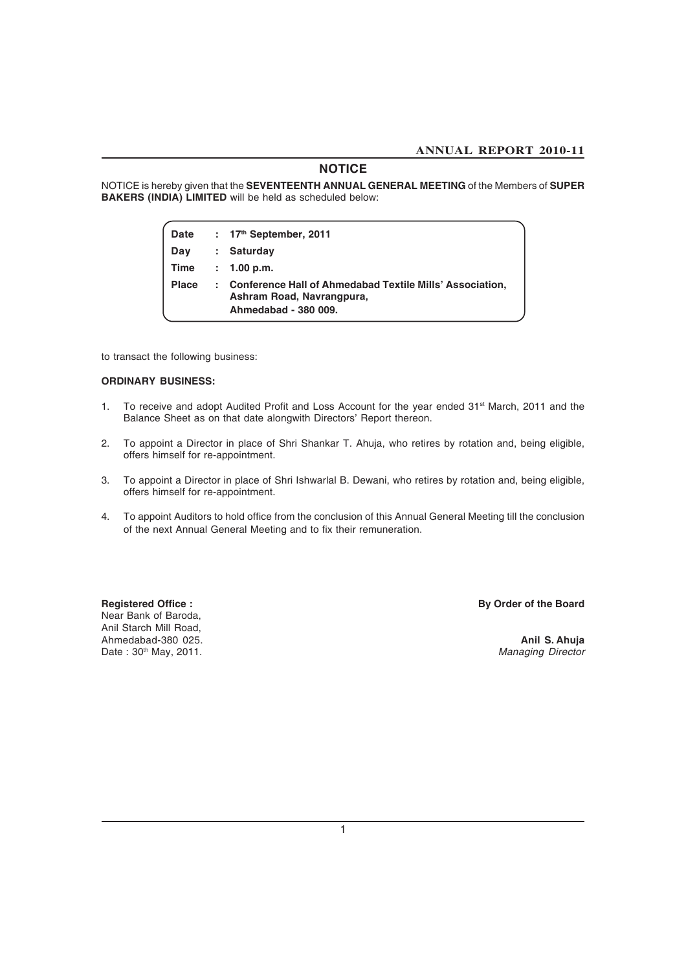### **NOTICE**

NOTICE is hereby given that the **SEVENTEENTH ANNUAL GENERAL MEETING** of the Members of **SUPER BAKERS (INDIA) LIMITED** will be held as scheduled below:

| <b>Date</b>  |    | : $17th$ September, 2011                                                                                      |
|--------------|----|---------------------------------------------------------------------------------------------------------------|
| Day          |    | <b>Saturday</b>                                                                                               |
| Time         | ÷. | 1.00 p.m.                                                                                                     |
| <b>Place</b> |    | Conference Hall of Ahmedabad Textile Mills' Association,<br>Ashram Road, Navrangpura,<br>Ahmedabad - 380 009. |

to transact the following business:

### **ORDINARY BUSINESS:**

- 1. To receive and adopt Audited Profit and Loss Account for the year ended 31<sup>st</sup> March, 2011 and the Balance Sheet as on that date alongwith Directors' Report thereon.
- 2. To appoint a Director in place of Shri Shankar T. Ahuja, who retires by rotation and, being eligible, offers himself for re-appointment.
- 3. To appoint a Director in place of Shri Ishwarlal B. Dewani, who retires by rotation and, being eligible, offers himself for re-appointment.
- 4. To appoint Auditors to hold office from the conclusion of this Annual General Meeting till the conclusion of the next Annual General Meeting and to fix their remuneration.

Near Bank of Baroda, Anil Starch Mill Road, Ahmedabad-380 025. **Anil S. Ahuja**<br>Date : 30<sup>th</sup> May, 2011. **Anil S. Ahuja**<br>*Managing Director* Date: 30<sup>th</sup> May, 2011.

Registered Office : **By Order of the Board**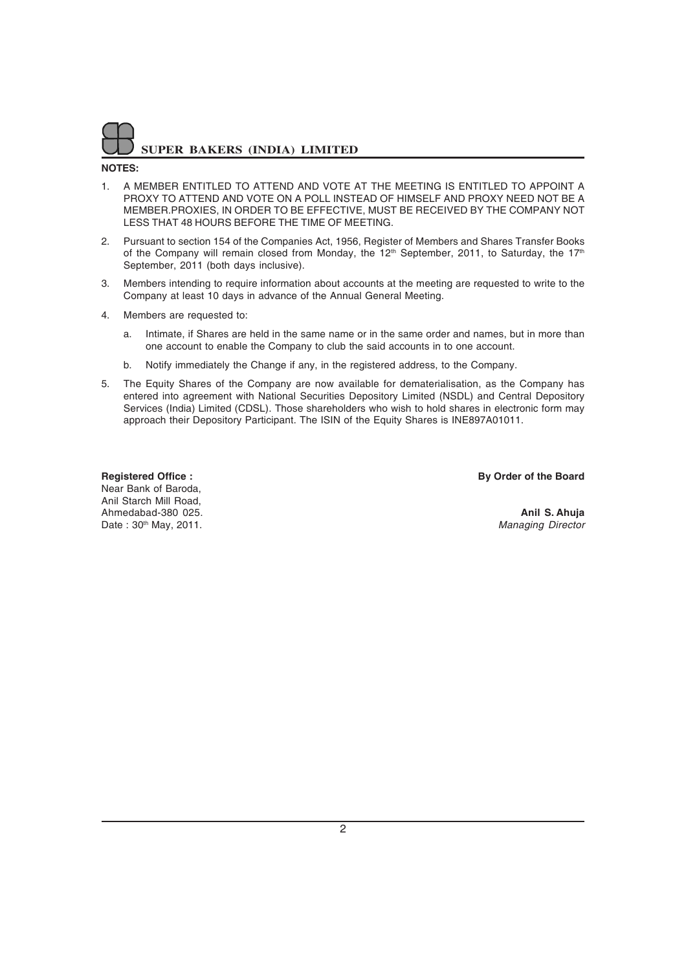### **NOTES:**

- 1. A MEMBER ENTITLED TO ATTEND AND VOTE AT THE MEETING IS ENTITLED TO APPOINT A PROXY TO ATTEND AND VOTE ON A POLL INSTEAD OF HIMSELF AND PROXY NEED NOT BE A MEMBER.PROXIES, IN ORDER TO BE EFFECTIVE, MUST BE RECEIVED BY THE COMPANY NOT LESS THAT 48 HOURS BEFORE THE TIME OF MEETING.
- 2. Pursuant to section 154 of the Companies Act, 1956, Register of Members and Shares Transfer Books of the Company will remain closed from Monday, the  $12<sup>th</sup>$  September, 2011, to Saturday, the  $17<sup>th</sup>$ September, 2011 (both days inclusive).
- 3. Members intending to require information about accounts at the meeting are requested to write to the Company at least 10 days in advance of the Annual General Meeting.
- 4. Members are requested to:
	- a. Intimate, if Shares are held in the same name or in the same order and names, but in more than one account to enable the Company to club the said accounts in to one account.
	- b. Notify immediately the Change if any, in the registered address, to the Company.
- 5. The Equity Shares of the Company are now available for dematerialisation, as the Company has entered into agreement with National Securities Depository Limited (NSDL) and Central Depository Services (India) Limited (CDSL). Those shareholders who wish to hold shares in electronic form may approach their Depository Participant. The ISIN of the Equity Shares is INE897A01011.

Near Bank of Baroda, Anil Starch Mill Road, Ahmedabad-380 025.<br> **Anil S. Ahuja**<br>
Date : 30<sup>th</sup> May. 2011. Date: 30<sup>th</sup> May, 2011.

**Registered Office :** By Order of the Board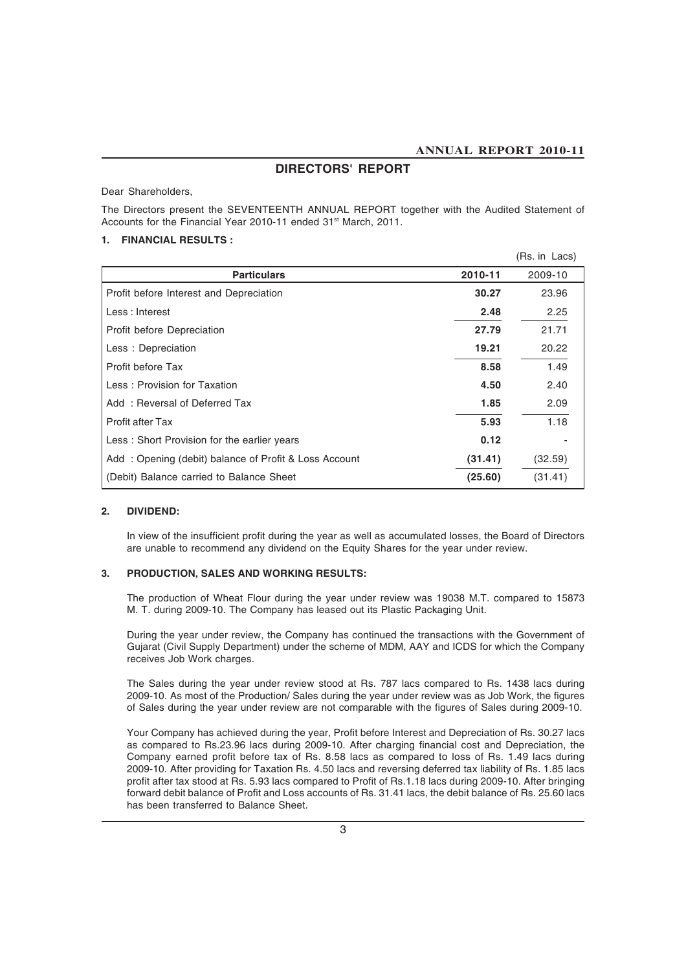### **DIRECTORS' REPORT**

Dear Shareholders,

The Directors present the SEVENTEENTH ANNUAL REPORT together with the Audited Statement of Accounts for the Financial Year 2010-11 ended 31<sup>st</sup> March, 2011.

### **1. FINANCIAL RESULTS :**

|                                                       |         | (Rs. in Lacs) |
|-------------------------------------------------------|---------|---------------|
| <b>Particulars</b>                                    | 2010-11 | 2009-10       |
| Profit before Interest and Depreciation               | 30.27   | 23.96         |
| Less: Interest                                        | 2.48    | 2.25          |
| Profit before Depreciation                            | 27.79   | 21.71         |
| Less: Depreciation                                    | 19.21   | 20.22         |
| Profit before Tax                                     | 8.58    | 1.49          |
| Less: Provision for Taxation                          | 4.50    | 2.40          |
| Add: Reversal of Deferred Tax                         | 1.85    | 2.09          |
| <b>Profit after Tax</b>                               | 5.93    | 1.18          |
| Less: Short Provision for the earlier years           | 0.12    |               |
| Add: Opening (debit) balance of Profit & Loss Account | (31.41) | (32.59)       |
| (Debit) Balance carried to Balance Sheet              | (25.60) | (31.41)       |

### **2. DIVIDEND:**

In view of the insufficient profit during the year as well as accumulated losses, the Board of Directors are unable to recommend any dividend on the Equity Shares for the year under review.

### **3. PRODUCTION, SALES AND WORKING RESULTS:**

The production of Wheat Flour during the year under review was 19038 M.T. compared to 15873 M. T. during 2009-10. The Company has leased out its Plastic Packaging Unit.

During the year under review, the Company has continued the transactions with the Government of Gujarat (Civil Supply Department) under the scheme of MDM, AAY and ICDS for which the Company receives Job Work charges.

The Sales during the year under review stood at Rs. 787 lacs compared to Rs. 1438 lacs during 2009-10. As most of the Production/ Sales during the year under review was as Job Work, the figures of Sales during the year under review are not comparable with the figures of Sales during 2009-10.

Your Company has achieved during the year, Profit before Interest and Depreciation of Rs. 30.27 lacs as compared to Rs.23.96 lacs during 2009-10. After charging financial cost and Depreciation, the Company earned profit before tax of Rs. 8.58 lacs as compared to loss of Rs. 1.49 lacs during 2009-10. After providing for Taxation Rs. 4.50 lacs and reversing deferred tax liability of Rs. 1.85 lacs profit after tax stood at Rs. 5.93 lacs compared to Profit of Rs.1.18 lacs during 2009-10. After bringing forward debit balance of Profit and Loss accounts of Rs. 31.41 lacs, the debit balance of Rs. 25.60 lacs has been transferred to Balance Sheet.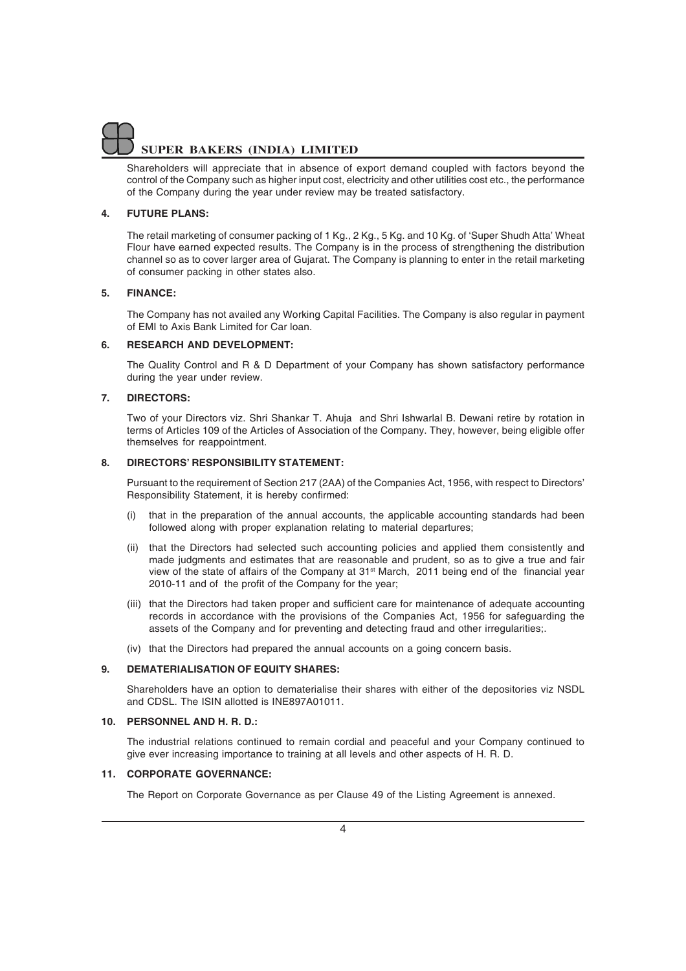Shareholders will appreciate that in absence of export demand coupled with factors beyond the control of the Company such as higher input cost, electricity and other utilities cost etc., the performance of the Company during the year under review may be treated satisfactory.

### **4. FUTURE PLANS:**

The retail marketing of consumer packing of 1 Kg., 2 Kg., 5 Kg. and 10 Kg. of 'Super Shudh Atta' Wheat Flour have earned expected results. The Company is in the process of strengthening the distribution channel so as to cover larger area of Gujarat. The Company is planning to enter in the retail marketing of consumer packing in other states also.

### **5. FINANCE:**

The Company has not availed any Working Capital Facilities. The Company is also regular in payment of EMI to Axis Bank Limited for Car loan.

### **6. RESEARCH AND DEVELOPMENT:**

The Quality Control and R & D Department of your Company has shown satisfactory performance during the year under review.

### **7. DIRECTORS:**

Two of your Directors viz. Shri Shankar T. Ahuja and Shri Ishwarlal B. Dewani retire by rotation in terms of Articles 109 of the Articles of Association of the Company. They, however, being eligible offer themselves for reappointment.

### **8. DIRECTORS' RESPONSIBILITY STATEMENT:**

Pursuant to the requirement of Section 217 (2AA) of the Companies Act, 1956, with respect to Directors' Responsibility Statement, it is hereby confirmed:

- (i) that in the preparation of the annual accounts, the applicable accounting standards had been followed along with proper explanation relating to material departures;
- (ii) that the Directors had selected such accounting policies and applied them consistently and made judgments and estimates that are reasonable and prudent, so as to give a true and fair view of the state of affairs of the Company at 31<sup>st</sup> March, 2011 being end of the financial year 2010-11 and of the profit of the Company for the year;
- (iii) that the Directors had taken proper and sufficient care for maintenance of adequate accounting records in accordance with the provisions of the Companies Act, 1956 for safeguarding the assets of the Company and for preventing and detecting fraud and other irregularities;.
- (iv) that the Directors had prepared the annual accounts on a going concern basis.

### **9. DEMATERIALISATION OF EQUITY SHARES:**

Shareholders have an option to dematerialise their shares with either of the depositories viz NSDL and CDSL. The ISIN allotted is INE897A01011.

### **10. PERSONNEL AND H. R. D.:**

The industrial relations continued to remain cordial and peaceful and your Company continued to give ever increasing importance to training at all levels and other aspects of H. R. D.

### **11. CORPORATE GOVERNANCE:**

The Report on Corporate Governance as per Clause 49 of the Listing Agreement is annexed.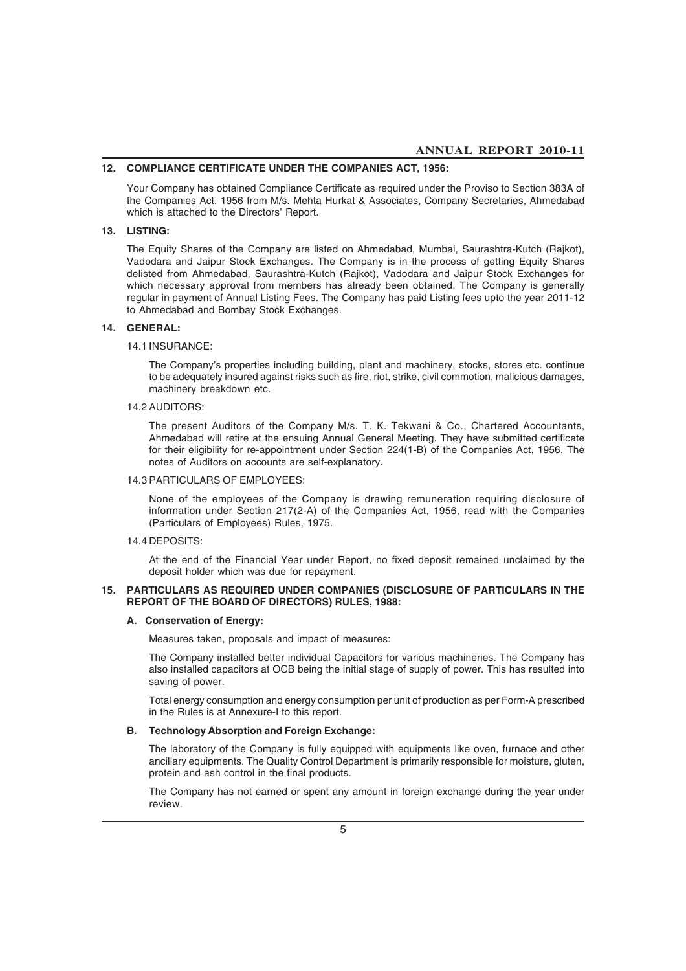### **12. COMPLIANCE CERTIFICATE UNDER THE COMPANIES ACT, 1956:**

Your Company has obtained Compliance Certificate as required under the Proviso to Section 383A of the Companies Act. 1956 from M/s. Mehta Hurkat & Associates, Company Secretaries, Ahmedabad which is attached to the Directors' Report.

### **13. LISTING:**

The Equity Shares of the Company are listed on Ahmedabad, Mumbai, Saurashtra-Kutch (Rajkot), Vadodara and Jaipur Stock Exchanges. The Company is in the process of getting Equity Shares delisted from Ahmedabad, Saurashtra-Kutch (Rajkot), Vadodara and Jaipur Stock Exchanges for which necessary approval from members has already been obtained. The Company is generally regular in payment of Annual Listing Fees. The Company has paid Listing fees upto the year 2011-12 to Ahmedabad and Bombay Stock Exchanges.

### **14. GENERAL:**

### 14.1 INSURANCE:

The Company's properties including building, plant and machinery, stocks, stores etc. continue to be adequately insured against risks such as fire, riot, strike, civil commotion, malicious damages, machinery breakdown etc.

### 14.2 AUDITORS:

The present Auditors of the Company M/s. T. K. Tekwani & Co., Chartered Accountants, Ahmedabad will retire at the ensuing Annual General Meeting. They have submitted certificate for their eligibility for re-appointment under Section 224(1-B) of the Companies Act, 1956. The notes of Auditors on accounts are self-explanatory.

#### 14.3 PARTICULARS OF EMPLOYEES:

None of the employees of the Company is drawing remuneration requiring disclosure of information under Section 217(2-A) of the Companies Act, 1956, read with the Companies (Particulars of Employees) Rules, 1975.

### 14.4 DEPOSITS:

At the end of the Financial Year under Report, no fixed deposit remained unclaimed by the deposit holder which was due for repayment.

### **15. PARTICULARS AS REQUIRED UNDER COMPANIES (DISCLOSURE OF PARTICULARS IN THE REPORT OF THE BOARD OF DIRECTORS) RULES, 1988:**

#### **A. Conservation of Energy:**

Measures taken, proposals and impact of measures:

The Company installed better individual Capacitors for various machineries. The Company has also installed capacitors at OCB being the initial stage of supply of power. This has resulted into saving of power.

Total energy consumption and energy consumption per unit of production as per Form-A prescribed in the Rules is at Annexure-I to this report.

### **B. Technology Absorption and Foreign Exchange:**

The laboratory of the Company is fully equipped with equipments like oven, furnace and other ancillary equipments. The Quality Control Department is primarily responsible for moisture, gluten, protein and ash control in the final products.

The Company has not earned or spent any amount in foreign exchange during the year under review.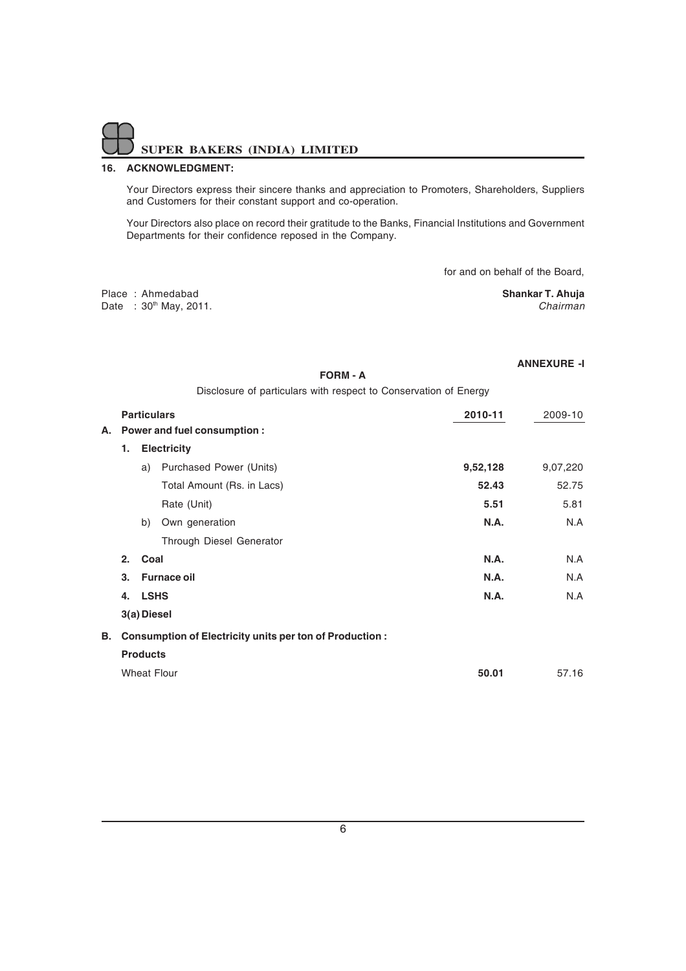### **16. ACKNOWLEDGMENT:**

Your Directors express their sincere thanks and appreciation to Promoters, Shareholders, Suppliers and Customers for their constant support and co-operation.

Your Directors also place on record their gratitude to the Banks, Financial Institutions and Government Departments for their confidence reposed in the Company.

for and on behalf of the Board,

**ANNEXURE -I**

|  | Place: Ahmedabad           | <b>Shankar T. Ahuja</b> |
|--|----------------------------|-------------------------|
|  | Date: $30^{th}$ May, 2011. | Chairman                |

|    |    |                 | <b>FORM - A</b>                                                  |             |          |
|----|----|-----------------|------------------------------------------------------------------|-------------|----------|
|    |    |                 | Disclosure of particulars with respect to Conservation of Energy |             |          |
|    |    |                 | <b>Particulars</b>                                               | 2010-11     | 2009-10  |
| А. |    |                 | Power and fuel consumption:                                      |             |          |
|    | 1. |                 | <b>Electricity</b>                                               |             |          |
|    |    | a)              | Purchased Power (Units)                                          | 9,52,128    | 9,07,220 |
|    |    |                 | Total Amount (Rs. in Lacs)                                       | 52.43       | 52.75    |
|    |    |                 | Rate (Unit)                                                      | 5.51        | 5.81     |
|    |    | b)              | Own generation                                                   | <b>N.A.</b> | N.A      |
|    |    |                 | Through Diesel Generator                                         |             |          |
|    | 2. | Coal            |                                                                  | <b>N.A.</b> | N.A      |
|    | 3. |                 | <b>Furnace oil</b>                                               | N.A.        | N.A      |
|    | 4. | <b>LSHS</b>     |                                                                  | <b>N.A.</b> | N.A      |
|    |    | 3(a) Diesel     |                                                                  |             |          |
| В. |    |                 | <b>Consumption of Electricity units per ton of Production:</b>   |             |          |
|    |    | <b>Products</b> |                                                                  |             |          |
|    |    |                 | <b>Wheat Flour</b>                                               | 50.01       | 57.16    |
|    |    |                 |                                                                  |             |          |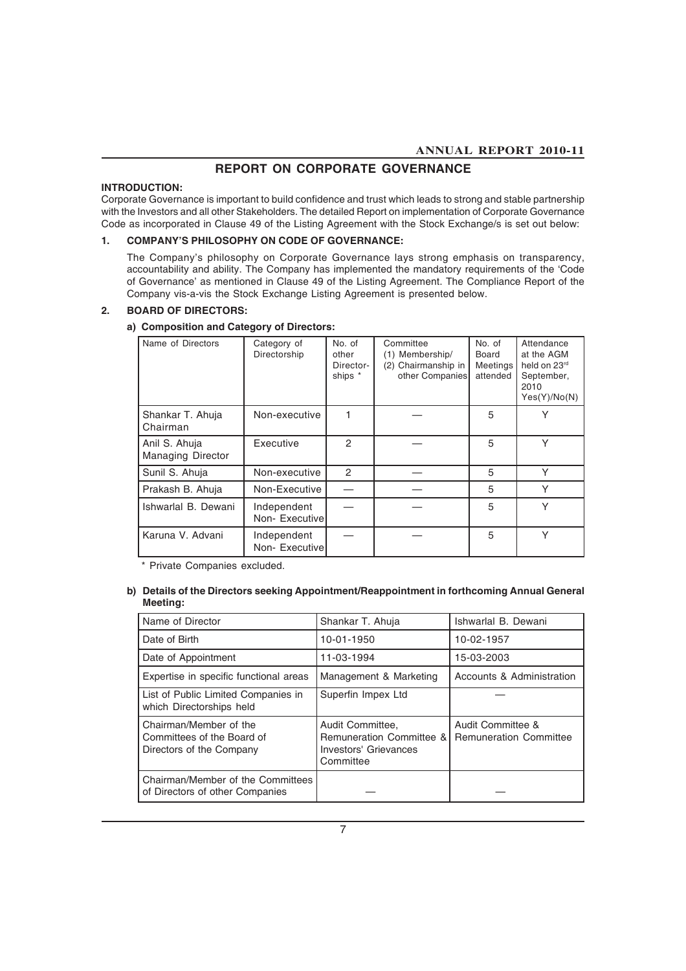### **REPORT ON CORPORATE GOVERNANCE**

### **INTRODUCTION:**

Corporate Governance is important to build confidence and trust which leads to strong and stable partnership with the Investors and all other Stakeholders. The detailed Report on implementation of Corporate Governance Code as incorporated in Clause 49 of the Listing Agreement with the Stock Exchange/s is set out below:

### **1. COMPANY'S PHILOSOPHY ON CODE OF GOVERNANCE:**

The Company's philosophy on Corporate Governance lays strong emphasis on transparency, accountability and ability. The Company has implemented the mandatory requirements of the 'Code of Governance' as mentioned in Clause 49 of the Listing Agreement. The Compliance Report of the Company vis-a-vis the Stock Exchange Listing Agreement is presented below.

### **2. BOARD OF DIRECTORS:**

| Name of Directors                         | Category of<br>Directorship   | No. of<br>other<br>Director-<br>ships * | Committee<br>(1) Membership/<br>(2) Chairmanship in<br>other Companies | No. of<br>Board<br>Meetings<br>attended | Attendance<br>at the AGM<br>held on 23rd<br>September,<br>2010<br>Yes(Y)/No(N) |
|-------------------------------------------|-------------------------------|-----------------------------------------|------------------------------------------------------------------------|-----------------------------------------|--------------------------------------------------------------------------------|
| Shankar T. Ahuja<br>Chairman              | Non-executive                 |                                         |                                                                        | 5                                       | Υ                                                                              |
| Anil S. Ahuja<br><b>Managing Director</b> | Executive                     | $\mathfrak{p}$                          |                                                                        | 5                                       | Y                                                                              |
| Sunil S. Ahuja                            | Non-executive                 | $\mathfrak{p}$                          |                                                                        | 5                                       | Y                                                                              |
| Prakash B. Ahuja                          | Non-Executive                 |                                         |                                                                        | 5                                       | Υ                                                                              |
| Ishwarlal B. Dewani                       | Independent<br>Non-Executivel |                                         |                                                                        | 5                                       | Y                                                                              |
| Karuna V. Advani                          | Independent<br>Non-Executivel |                                         |                                                                        | 5                                       | Y                                                                              |

### **a) Composition and Category of Directors:**

\* Private Companies excluded.

### **b) Details of the Directors seeking Appointment/Reappointment in forthcoming Annual General Meeting:**

| Name of Director                                                                 | Shankar T. Ahuja                                                                              | Ishwarlal B. Dewani                                |
|----------------------------------------------------------------------------------|-----------------------------------------------------------------------------------------------|----------------------------------------------------|
| Date of Birth                                                                    | 10-01-1950                                                                                    | 10-02-1957                                         |
| Date of Appointment                                                              | 11-03-1994                                                                                    | 15-03-2003                                         |
| Expertise in specific functional areas                                           | Management & Marketing                                                                        | Accounts & Administration                          |
| List of Public Limited Companies in<br>which Directorships held                  | Superfin Impex Ltd                                                                            |                                                    |
| Chairman/Member of the<br>Committees of the Board of<br>Directors of the Company | Audit Committee,<br><b>Remuneration Committee &amp;</b><br>Investors' Grievances<br>Committee | Audit Committee &<br><b>Remuneration Committee</b> |
| Chairman/Member of the Committees<br>of Directors of other Companies             |                                                                                               |                                                    |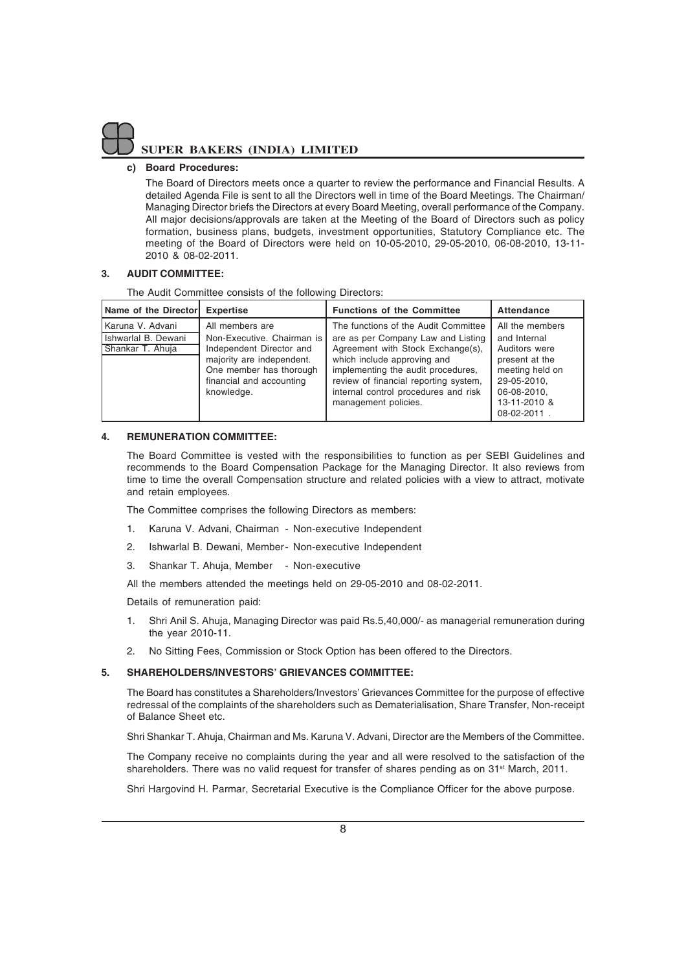

### **c) Board Procedures:**

The Board of Directors meets once a quarter to review the performance and Financial Results. A detailed Agenda File is sent to all the Directors well in time of the Board Meetings. The Chairman/ Managing Director briefs the Directors at every Board Meeting, overall performance of the Company. All major decisions/approvals are taken at the Meeting of the Board of Directors such as policy formation, business plans, budgets, investment opportunities, Statutory Compliance etc. The meeting of the Board of Directors were held on 10-05-2010, 29-05-2010, 06-08-2010, 13-11- 2010 & 08-02-2011.

### **3. AUDIT COMMITTEE:**

The Audit Committee consists of the following Directors:

| Name of the Director Expertise                              |                                                                                                                                                                             | <b>Functions of the Committee</b>                                                                                                                                                                                                                                                             | Attendance                                                                                                                                         |
|-------------------------------------------------------------|-----------------------------------------------------------------------------------------------------------------------------------------------------------------------------|-----------------------------------------------------------------------------------------------------------------------------------------------------------------------------------------------------------------------------------------------------------------------------------------------|----------------------------------------------------------------------------------------------------------------------------------------------------|
| Karuna V. Advani<br>Ishwarlal B. Dewani<br>Shankar T. Ahuja | All members are<br>Non-Executive, Chairman is<br>Independent Director and<br>majority are independent.<br>One member has thorough<br>financial and accounting<br>knowledge. | The functions of the Audit Committee<br>are as per Company Law and Listing<br>Agreement with Stock Exchange(s),<br>which include approving and<br>implementing the audit procedures,<br>review of financial reporting system,<br>internal control procedures and risk<br>management policies. | All the members<br>and Internal<br>Auditors were<br>present at the<br>meeting held on<br>29-05-2010.<br>06-08-2010.<br>13-11-2010 &<br>08-02-2011. |

### **4. REMUNERATION COMMITTEE:**

The Board Committee is vested with the responsibilities to function as per SEBI Guidelines and recommends to the Board Compensation Package for the Managing Director. It also reviews from time to time the overall Compensation structure and related policies with a view to attract, motivate and retain employees.

The Committee comprises the following Directors as members:

- 1. Karuna V. Advani, Chairman Non-executive Independent
- 2. Ishwarlal B. Dewani, Member- Non-executive Independent
- 3. Shankar T. Ahuja, Member Non-executive

All the members attended the meetings held on 29-05-2010 and 08-02-2011.

Details of remuneration paid:

- 1. Shri Anil S. Ahuja, Managing Director was paid Rs.5,40,000/- as managerial remuneration during the year 2010-11.
- 2. No Sitting Fees, Commission or Stock Option has been offered to the Directors.

### **5. SHAREHOLDERS/INVESTORS' GRIEVANCES COMMITTEE:**

The Board has constitutes a Shareholders/Investors' Grievances Committee for the purpose of effective redressal of the complaints of the shareholders such as Dematerialisation, Share Transfer, Non-receipt of Balance Sheet etc.

Shri Shankar T. Ahuja, Chairman and Ms. Karuna V. Advani, Director are the Members of the Committee.

The Company receive no complaints during the year and all were resolved to the satisfaction of the shareholders. There was no valid request for transfer of shares pending as on 31<sup>st</sup> March, 2011.

Shri Hargovind H. Parmar, Secretarial Executive is the Compliance Officer for the above purpose.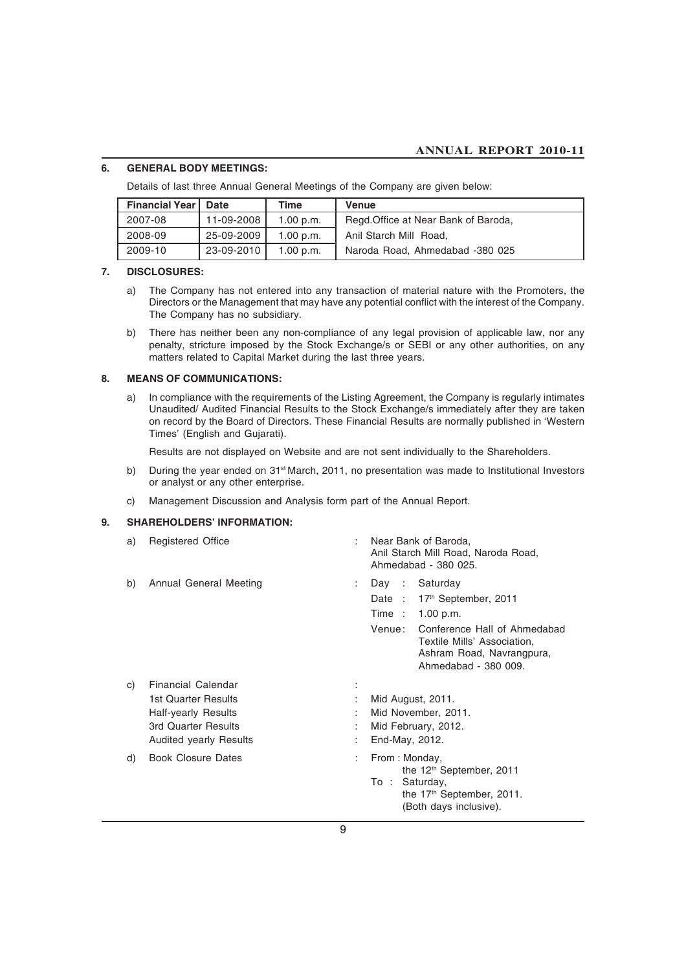### **6. GENERAL BODY MEETINGS:**

Details of last three Annual General Meetings of the Company are given below:

| <b>Financial Year I</b> | Date       | Time      | Venue                                |  |
|-------------------------|------------|-----------|--------------------------------------|--|
| 2007-08                 | 11-09-2008 | 1.00 p.m. | Regd. Office at Near Bank of Baroda, |  |
| 2008-09                 | 25-09-2009 | 1.00 p.m. | Anil Starch Mill Road.               |  |
| 2009-10                 | 23-09-2010 | 1.00 p.m. | Naroda Road, Ahmedabad -380 025      |  |

### **7. DISCLOSURES:**

- a) The Company has not entered into any transaction of material nature with the Promoters, the Directors or the Management that may have any potential conflict with the interest of the Company. The Company has no subsidiary.
- b) There has neither been any non-compliance of any legal provision of applicable law, nor any penalty, stricture imposed by the Stock Exchange/s or SEBI or any other authorities, on any matters related to Capital Market during the last three years.

### **8. MEANS OF COMMUNICATIONS:**

a) In compliance with the requirements of the Listing Agreement, the Company is regularly intimates Unaudited/ Audited Financial Results to the Stock Exchange/s immediately after they are taken on record by the Board of Directors. These Financial Results are normally published in 'Western Times' (English and Gujarati).

Results are not displayed on Website and are not sent individually to the Shareholders.

- b) During the year ended on 31<sup>st</sup> March, 2011, no presentation was made to Institutional Investors or analyst or any other enterprise.
- c) Management Discussion and Analysis form part of the Annual Report.

### **9. SHAREHOLDERS' INFORMATION:**

| a)       | <b>Registered Office</b>                                                                                                                                     | ÷                         | Near Bank of Baroda.<br>Anil Starch Mill Road, Naroda Road,<br>Ahmedabad - 380 025.                                                                                                                        |  |  |
|----------|--------------------------------------------------------------------------------------------------------------------------------------------------------------|---------------------------|------------------------------------------------------------------------------------------------------------------------------------------------------------------------------------------------------------|--|--|
| b)       | Annual General Meeting                                                                                                                                       | $\mathbb{R}^{\mathbb{Z}}$ | Day : Saturday<br>Date: 17 <sup>th</sup> September, 2011<br>Time : 1.00 p.m.<br>Venue:<br>Conference Hall of Ahmedabad<br>Textile Mills' Association,<br>Ashram Road, Navrangpura,<br>Ahmedabad - 380 009. |  |  |
| C)<br>d) | <b>Financial Calendar</b><br>1st Quarter Results<br>Half-yearly Results<br>3rd Quarter Results<br><b>Audited yearly Results</b><br><b>Book Closure Dates</b> | ÷<br>÷<br>÷               | Mid August, 2011.<br>Mid November, 2011.<br>Mid February, 2012.<br>End-May, 2012.<br>From: Monday,<br>the 12 <sup>th</sup> September, 2011                                                                 |  |  |
|          |                                                                                                                                                              |                           | To: Saturday,<br>the 17 <sup>th</sup> September, 2011.<br>(Both days inclusive).                                                                                                                           |  |  |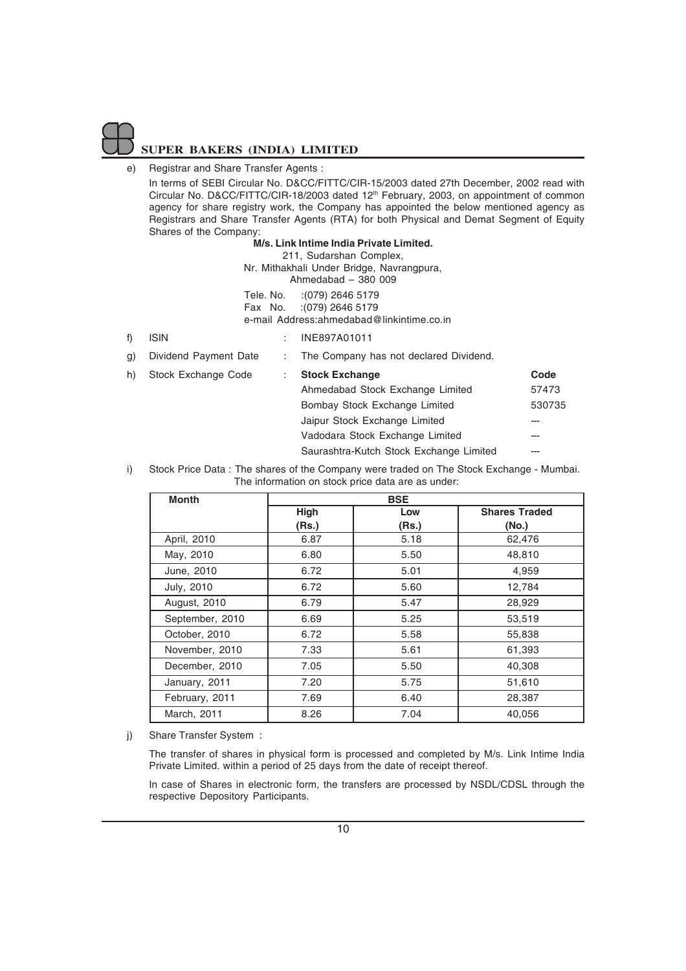### e) Registrar and Share Transfer Agents :

In terms of SEBI Circular No. D&CC/FITTC/CIR-15/2003 dated 27th December, 2002 read with Circular No. D&CC/FITTC/CIR-18/2003 dated 12<sup>th</sup> February, 2003, on appointment of common agency for share registry work, the Company has appointed the below mentioned agency as Registrars and Share Transfer Agents (RTA) for both Physical and Demat Segment of Equity Shares of the Company:

### **M/s. Link Intime India Private Limited.**

211, Sudarshan Complex, Nr. Mithakhali Under Bridge, Navrangpura, Ahmedabad – 380 009 Tele. No. :(079) 2646 5179 Fax No. :(079) 2646 5179

e-mail Address:ahmedabad@linkintime.co.in

### f) ISIN : INE897A01011

|      | n) - Stock Evchange Code | Stock Exchange                         |
|------|--------------------------|----------------------------------------|
| 3) I | Dividend Payment Date    | The Company has not declared Dividend. |

- 
- h) Stock Exchange Code : **Stock Exchange Code** Ahmedabad Stock Exchange Limited 57473 Bombay Stock Exchange Limited 530735 Jaipur Stock Exchange Limited Vadodara Stock Exchange Limited ---Saurashtra-Kutch Stock Exchange Limited --

i) Stock Price Data : The shares of the Company were traded on The Stock Exchange - Mumbai. The information on stock price data are as under:

| <b>Month</b>    |             | <b>BSE</b> |                      |
|-----------------|-------------|------------|----------------------|
|                 | <b>High</b> | Low        | <b>Shares Traded</b> |
|                 | (Rs.)       | (Rs.)      | (No.)                |
| April, 2010     | 6.87        | 5.18       | 62,476               |
| May, 2010       | 6.80        | 5.50       | 48,810               |
| June, 2010      | 6.72        | 5.01       | 4.959                |
| July, 2010      | 6.72        | 5.60       | 12,784               |
| August, 2010    | 6.79        | 5.47       | 28,929               |
| September, 2010 | 6.69        | 5.25       | 53,519               |
| October, 2010   | 6.72        | 5.58       | 55,838               |
| November, 2010  | 7.33        | 5.61       | 61,393               |
| December, 2010  | 7.05        | 5.50       | 40,308               |
| January, 2011   | 7.20        | 5.75       | 51,610               |
| February, 2011  | 7.69        | 6.40       | 28,387               |
| March, 2011     | 8.26        | 7.04       | 40,056               |

j) Share Transfer System :

The transfer of shares in physical form is processed and completed by M/s. Link Intime India Private Limited. within a period of 25 days from the date of receipt thereof.

In case of Shares in electronic form, the transfers are processed by NSDL/CDSL through the respective Depository Participants.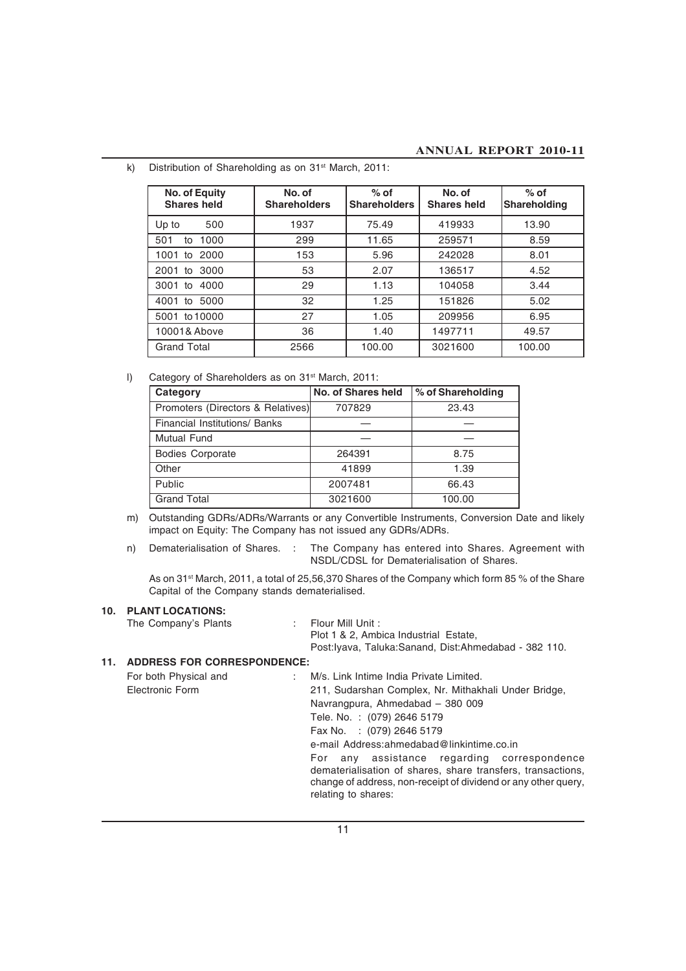| No. of Equity<br><b>Shares held</b> | No. of<br><b>Shareholders</b> | $%$ of<br><b>Shareholders</b> | No. of<br><b>Shares held</b> | $%$ of<br><b>Shareholding</b> |
|-------------------------------------|-------------------------------|-------------------------------|------------------------------|-------------------------------|
| 500<br>Up to                        | 1937                          | 75.49                         | 419933                       | 13.90                         |
| 1000<br>501<br>to                   | 299                           | 11.65                         | 259571                       | 8.59                          |
| to 2000<br>1001                     | 153                           | 5.96                          | 242028                       | 8.01                          |
| 2001 to 3000                        | 53                            | 2.07                          | 136517                       | 4.52                          |
| 3001 to 4000                        | 29                            | 1.13                          | 104058                       | 3.44                          |
| 5000<br>4001 to                     | 32                            | 1.25                          | 151826                       | 5.02                          |
| 5001 to 10000                       | 27                            | 1.05                          | 209956                       | 6.95                          |
| 10001& Above                        | 36                            | 1.40                          | 1497711                      | 49.57                         |
| <b>Grand Total</b>                  | 2566                          | 100.00                        | 3021600                      | 100.00                        |

k) Distribution of Shareholding as on 31<sup>st</sup> March, 2011:

l) Category of Shareholders as on 31<sup>st</sup> March, 2011:

| Category                          | No. of Shares held | % of Shareholding |
|-----------------------------------|--------------------|-------------------|
| Promoters (Directors & Relatives) | 707829             | 23.43             |
| Financial Institutions/ Banks     |                    |                   |
| <b>Mutual Fund</b>                |                    |                   |
| <b>Bodies Corporate</b>           | 264391             | 8.75              |
| Other                             | 41899              | 1.39              |
| <b>Public</b>                     | 2007481            | 66.43             |
| <b>Grand Total</b>                | 3021600            | 100.00            |

- m) Outstanding GDRs/ADRs/Warrants or any Convertible Instruments, Conversion Date and likely impact on Equity: The Company has not issued any GDRs/ADRs.
- 

n) Dematerialisation of Shares. : The Company has entered into Shares. Agreement with NSDL/CDSL for Dematerialisation of Shares.

As on 31st March, 2011, a total of 25,56,370 Shares of the Company which form 85 % of the Share Capital of the Company stands dematerialised.

### **10. PLANT LOCATIONS:**

The Company's Plants : Flour Mill Unit :

Plot 1 & 2, Ambica Industrial Estate,

Post:Iyava, Taluka:Sanand, Dist:Ahmedabad - 382 110.

### **11. ADDRESS FOR CORRESPONDENCE:**

| For both Physical and | M/s. Link Intime India Private Limited.                                                                                                                                                             |
|-----------------------|-----------------------------------------------------------------------------------------------------------------------------------------------------------------------------------------------------|
| Electronic Form       | 211, Sudarshan Complex, Nr. Mithakhali Under Bridge,                                                                                                                                                |
|                       | Navrangpura, Ahmedabad - 380 009                                                                                                                                                                    |
|                       | Tele. No.: (079) 2646 5179                                                                                                                                                                          |
|                       | Fax No. : (079) 2646 5179                                                                                                                                                                           |
|                       | e-mail Address: ahmedabad@linkintime.co.in                                                                                                                                                          |
|                       | For any assistance regarding correspondence<br>dematerialisation of shares, share transfers, transactions,<br>change of address, non-receipt of dividend or any other query,<br>relating to shares: |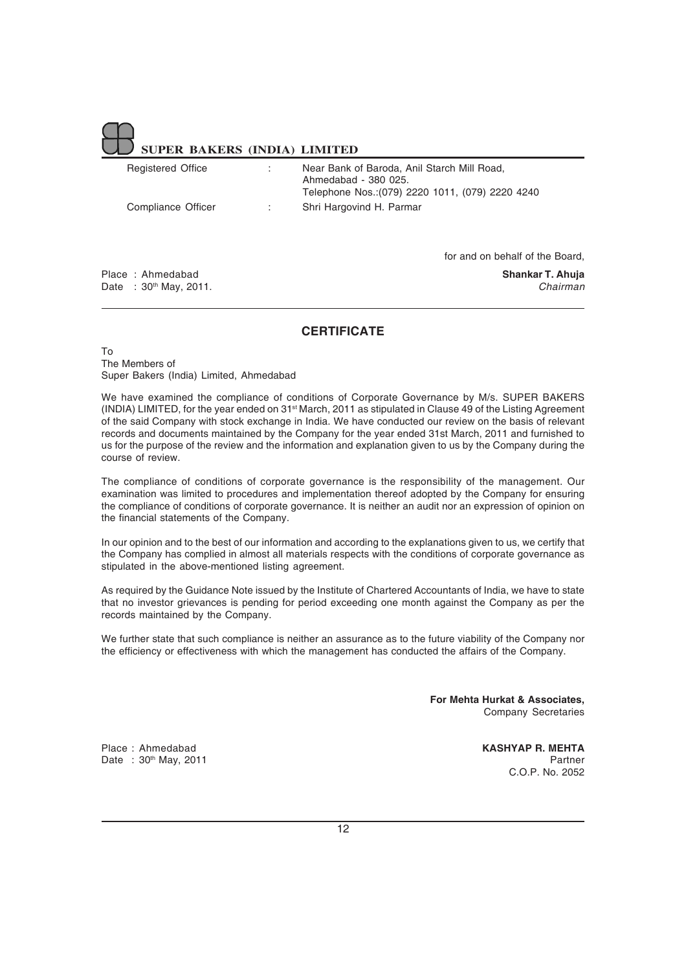| <b>Registered Office</b> | Near Bank of Baroda, Anil Starch Mill Road.<br>Ahmedabad - 380 025.<br>Telephone Nos.: (079) 2220 1011, (079) 2220 4240 |
|--------------------------|-------------------------------------------------------------------------------------------------------------------------|
| Compliance Officer       | Shri Hargovind H. Parmar                                                                                                |

Place : Ahmedabad **Shankar T. Ahuja** Date : 30th May, 2011. *Chairman*

for and on behalf of the Board,

### **CERTIFICATE**

To The Members of Super Bakers (India) Limited, Ahmedabad

We have examined the compliance of conditions of Corporate Governance by M/s. SUPER BAKERS (INDIA) LIMITED, for the year ended on 31st March, 2011 as stipulated in Clause 49 of the Listing Agreement of the said Company with stock exchange in India. We have conducted our review on the basis of relevant records and documents maintained by the Company for the year ended 31st March, 2011 and furnished to us for the purpose of the review and the information and explanation given to us by the Company during the course of review.

The compliance of conditions of corporate governance is the responsibility of the management. Our examination was limited to procedures and implementation thereof adopted by the Company for ensuring the compliance of conditions of corporate governance. It is neither an audit nor an expression of opinion on the financial statements of the Company.

In our opinion and to the best of our information and according to the explanations given to us, we certify that the Company has complied in almost all materials respects with the conditions of corporate governance as stipulated in the above-mentioned listing agreement.

As required by the Guidance Note issued by the Institute of Chartered Accountants of India, we have to state that no investor grievances is pending for period exceeding one month against the Company as per the records maintained by the Company.

We further state that such compliance is neither an assurance as to the future viability of the Company nor the efficiency or effectiveness with which the management has conducted the affairs of the Company.

> **For Mehta Hurkat & Associates,** Company Secretaries

Place : Ahmedabad **KASHYAP R. MEHTA** Date : 30<sup>th</sup> May, 2011 **Partner Partner Partner Partner** C.O.P. No. 2052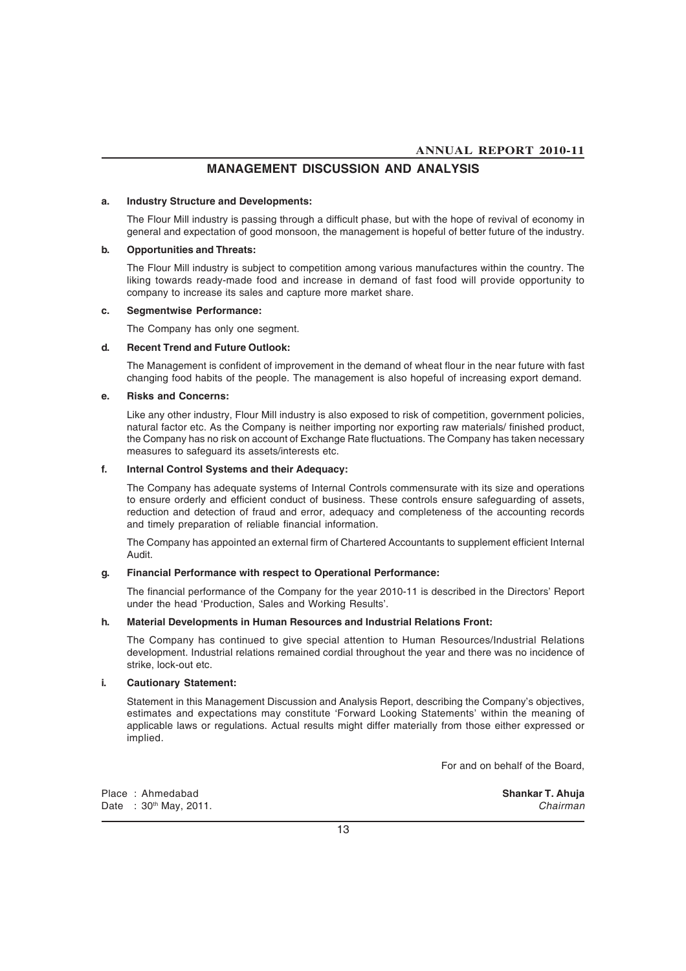### **MANAGEMENT DISCUSSION AND ANALYSIS**

### **a. Industry Structure and Developments:**

The Flour Mill industry is passing through a difficult phase, but with the hope of revival of economy in general and expectation of good monsoon, the management is hopeful of better future of the industry.

### **b. Opportunities and Threats:**

The Flour Mill industry is subject to competition among various manufactures within the country. The liking towards ready-made food and increase in demand of fast food will provide opportunity to company to increase its sales and capture more market share.

### **c. Segmentwise Performance:**

The Company has only one segment.

### **d. Recent Trend and Future Outlook:**

The Management is confident of improvement in the demand of wheat flour in the near future with fast changing food habits of the people. The management is also hopeful of increasing export demand.

### **e. Risks and Concerns:**

Like any other industry, Flour Mill industry is also exposed to risk of competition, government policies, natural factor etc. As the Company is neither importing nor exporting raw materials/ finished product, the Company has no risk on account of Exchange Rate fluctuations. The Company has taken necessary measures to safeguard its assets/interests etc.

### **f. Internal Control Systems and their Adequacy:**

The Company has adequate systems of Internal Controls commensurate with its size and operations to ensure orderly and efficient conduct of business. These controls ensure safeguarding of assets, reduction and detection of fraud and error, adequacy and completeness of the accounting records and timely preparation of reliable financial information.

The Company has appointed an external firm of Chartered Accountants to supplement efficient Internal Audit.

### **g. Financial Performance with respect to Operational Performance:**

The financial performance of the Company for the year 2010-11 is described in the Directors' Report under the head 'Production, Sales and Working Results'.

### **h. Material Developments in Human Resources and Industrial Relations Front:**

The Company has continued to give special attention to Human Resources/Industrial Relations development. Industrial relations remained cordial throughout the year and there was no incidence of strike, lock-out etc.

### **i. Cautionary Statement:**

Statement in this Management Discussion and Analysis Report, describing the Company's objectives, estimates and expectations may constitute 'Forward Looking Statements' within the meaning of applicable laws or regulations. Actual results might differ materially from those either expressed or implied.

For and on behalf of the Board,

Place : Ahmedabad **Shankar T. Ahuja** Date : 30th May, 2011. *Chairman*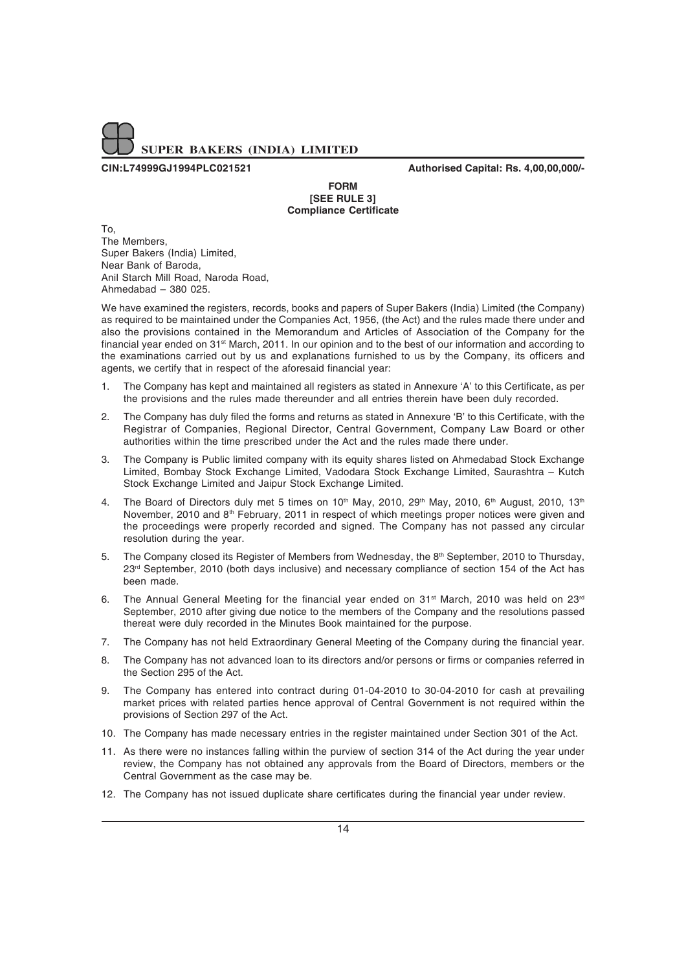

**CIN:L74999GJ1994PLC021521 Authorised Capital: Rs. 4,00,00,000/-**

**FORM [SEE RULE 3] Compliance Certificate**

To, The Members, Super Bakers (India) Limited, Near Bank of Baroda, Anil Starch Mill Road, Naroda Road, Ahmedabad – 380 025.

We have examined the registers, records, books and papers of Super Bakers (India) Limited (the Company) as required to be maintained under the Companies Act, 1956, (the Act) and the rules made there under and also the provisions contained in the Memorandum and Articles of Association of the Company for the financial year ended on 31st March, 2011. In our opinion and to the best of our information and according to the examinations carried out by us and explanations furnished to us by the Company, its officers and agents, we certify that in respect of the aforesaid financial year:

- 1. The Company has kept and maintained all registers as stated in Annexure 'A' to this Certificate, as per the provisions and the rules made thereunder and all entries therein have been duly recorded.
- 2. The Company has duly filed the forms and returns as stated in Annexure 'B' to this Certificate, with the Registrar of Companies, Regional Director, Central Government, Company Law Board or other authorities within the time prescribed under the Act and the rules made there under.
- 3. The Company is Public limited company with its equity shares listed on Ahmedabad Stock Exchange Limited, Bombay Stock Exchange Limited, Vadodara Stock Exchange Limited, Saurashtra – Kutch Stock Exchange Limited and Jaipur Stock Exchange Limited.
- 4. The Board of Directors duly met 5 times on 10<sup>th</sup> May, 2010, 29<sup>th</sup> May, 2010, 6<sup>th</sup> August, 2010, 13<sup>th</sup> November, 2010 and 8<sup>th</sup> February, 2011 in respect of which meetings proper notices were given and the proceedings were properly recorded and signed. The Company has not passed any circular resolution during the year.
- 5. The Company closed its Register of Members from Wednesday, the  $8<sup>th</sup>$  September, 2010 to Thursday, 23<sup>rd</sup> September, 2010 (both days inclusive) and necessary compliance of section 154 of the Act has been made.
- 6. The Annual General Meeting for the financial year ended on 31<sup>st</sup> March, 2010 was held on 23<sup>rd</sup> September, 2010 after giving due notice to the members of the Company and the resolutions passed thereat were duly recorded in the Minutes Book maintained for the purpose.
- 7. The Company has not held Extraordinary General Meeting of the Company during the financial year.
- 8. The Company has not advanced loan to its directors and/or persons or firms or companies referred in the Section 295 of the Act.
- 9. The Company has entered into contract during 01-04-2010 to 30-04-2010 for cash at prevailing market prices with related parties hence approval of Central Government is not required within the provisions of Section 297 of the Act.
- 10. The Company has made necessary entries in the register maintained under Section 301 of the Act.
- 11. As there were no instances falling within the purview of section 314 of the Act during the year under review, the Company has not obtained any approvals from the Board of Directors, members or the Central Government as the case may be.
- 12. The Company has not issued duplicate share certificates during the financial year under review.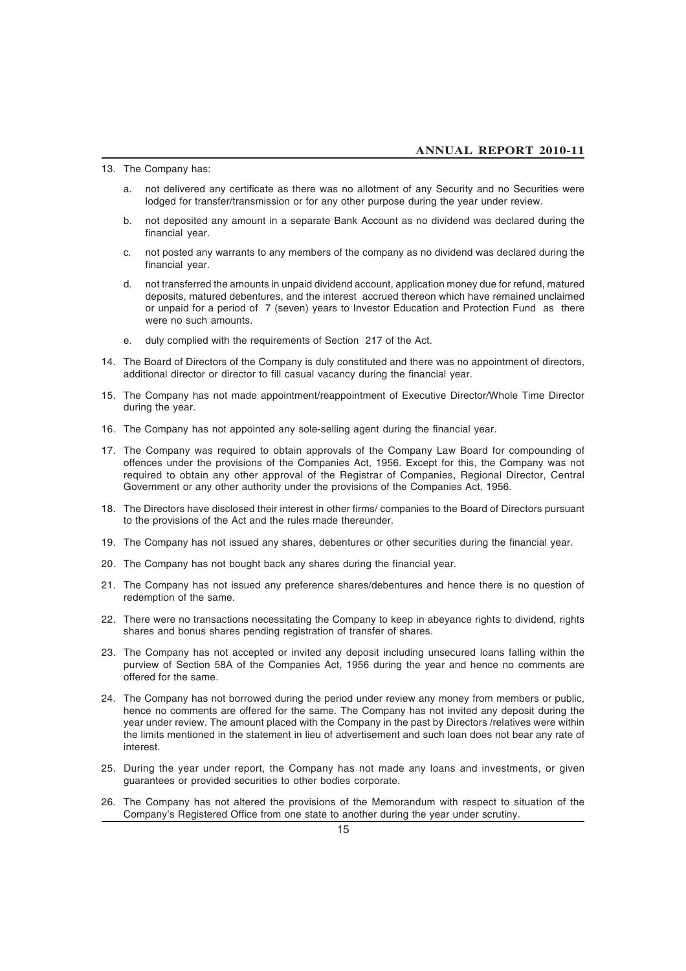13. The Company has:

- a. not delivered any certificate as there was no allotment of any Security and no Securities were lodged for transfer/transmission or for any other purpose during the year under review.
- b. not deposited any amount in a separate Bank Account as no dividend was declared during the financial year.
- c. not posted any warrants to any members of the company as no dividend was declared during the financial year.
- d. not transferred the amounts in unpaid dividend account, application money due for refund, matured deposits, matured debentures, and the interest accrued thereon which have remained unclaimed or unpaid for a period of 7 (seven) years to Investor Education and Protection Fund as there were no such amounts.
- e. duly complied with the requirements of Section 217 of the Act.
- 14. The Board of Directors of the Company is duly constituted and there was no appointment of directors, additional director or director to fill casual vacancy during the financial year.
- 15. The Company has not made appointment/reappointment of Executive Director/Whole Time Director during the year.
- 16. The Company has not appointed any sole-selling agent during the financial year.
- 17. The Company was required to obtain approvals of the Company Law Board for compounding of offences under the provisions of the Companies Act, 1956. Except for this, the Company was not required to obtain any other approval of the Registrar of Companies, Regional Director, Central Government or any other authority under the provisions of the Companies Act, 1956.
- 18. The Directors have disclosed their interest in other firms/ companies to the Board of Directors pursuant to the provisions of the Act and the rules made thereunder.
- 19. The Company has not issued any shares, debentures or other securities during the financial year.
- 20. The Company has not bought back any shares during the financial year.
- 21. The Company has not issued any preference shares/debentures and hence there is no question of redemption of the same.
- 22. There were no transactions necessitating the Company to keep in abeyance rights to dividend, rights shares and bonus shares pending registration of transfer of shares.
- 23. The Company has not accepted or invited any deposit including unsecured loans falling within the purview of Section 58A of the Companies Act, 1956 during the year and hence no comments are offered for the same.
- 24. The Company has not borrowed during the period under review any money from members or public, hence no comments are offered for the same. The Company has not invited any deposit during the year under review. The amount placed with the Company in the past by Directors /relatives were within the limits mentioned in the statement in lieu of advertisement and such loan does not bear any rate of interest.
- 25. During the year under report, the Company has not made any loans and investments, or given guarantees or provided securities to other bodies corporate.
- 26. The Company has not altered the provisions of the Memorandum with respect to situation of the Company's Registered Office from one state to another during the year under scrutiny.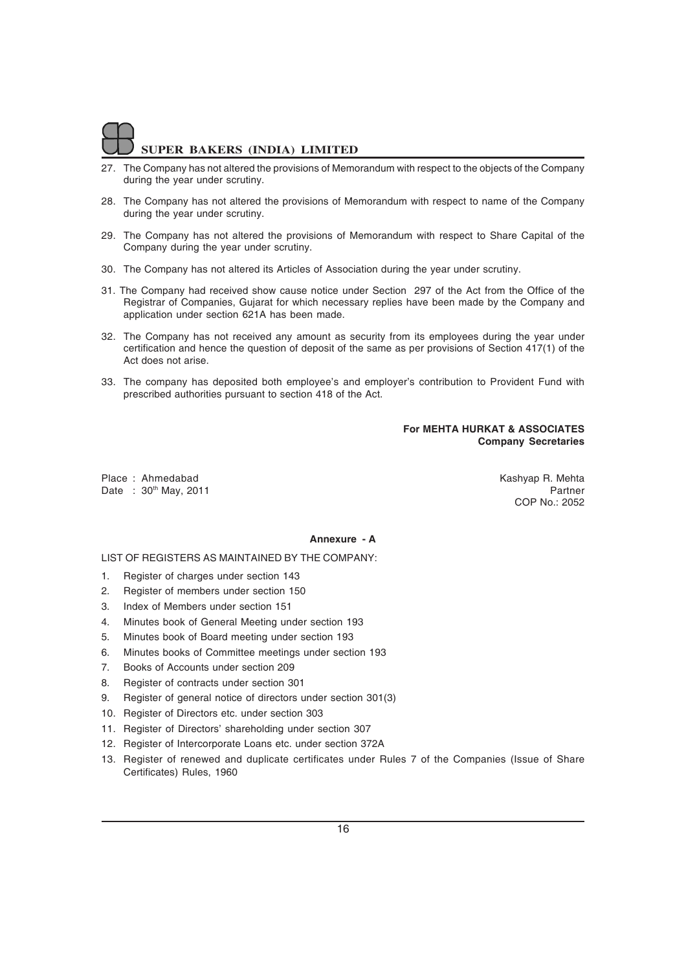- 27. The Company has not altered the provisions of Memorandum with respect to the objects of the Company during the year under scrutiny.
- 28. The Company has not altered the provisions of Memorandum with respect to name of the Company during the year under scrutiny.
- 29. The Company has not altered the provisions of Memorandum with respect to Share Capital of the Company during the year under scrutiny.
- 30. The Company has not altered its Articles of Association during the year under scrutiny.
- 31. The Company had received show cause notice under Section 297 of the Act from the Office of the Registrar of Companies, Gujarat for which necessary replies have been made by the Company and application under section 621A has been made.
- 32. The Company has not received any amount as security from its employees during the year under certification and hence the question of deposit of the same as per provisions of Section 417(1) of the Act does not arise.
- 33. The company has deposited both employee's and employer's contribution to Provident Fund with prescribed authorities pursuant to section 418 of the Act.

### **For MEHTA HURKAT & ASSOCIATES Company Secretaries**

Place : Ahmedabad **Kashyap R. Mehta** Kashyap R. Mehta Date : 30<sup>th</sup> May, 2011 **Partner** 

COP No.: 2052

### **Annexure - A**

LIST OF REGISTERS AS MAINTAINED BY THE COMPANY:

- 1. Register of charges under section 143
- 2. Register of members under section 150
- 3. Index of Members under section 151
- 4. Minutes book of General Meeting under section 193
- 5. Minutes book of Board meeting under section 193
- 6. Minutes books of Committee meetings under section 193
- 7. Books of Accounts under section 209
- 8. Register of contracts under section 301
- 9. Register of general notice of directors under section 301(3)
- 10. Register of Directors etc. under section 303
- 11. Register of Directors' shareholding under section 307
- 12. Register of Intercorporate Loans etc. under section 372A
- 13. Register of renewed and duplicate certificates under Rules 7 of the Companies (Issue of Share Certificates) Rules, 1960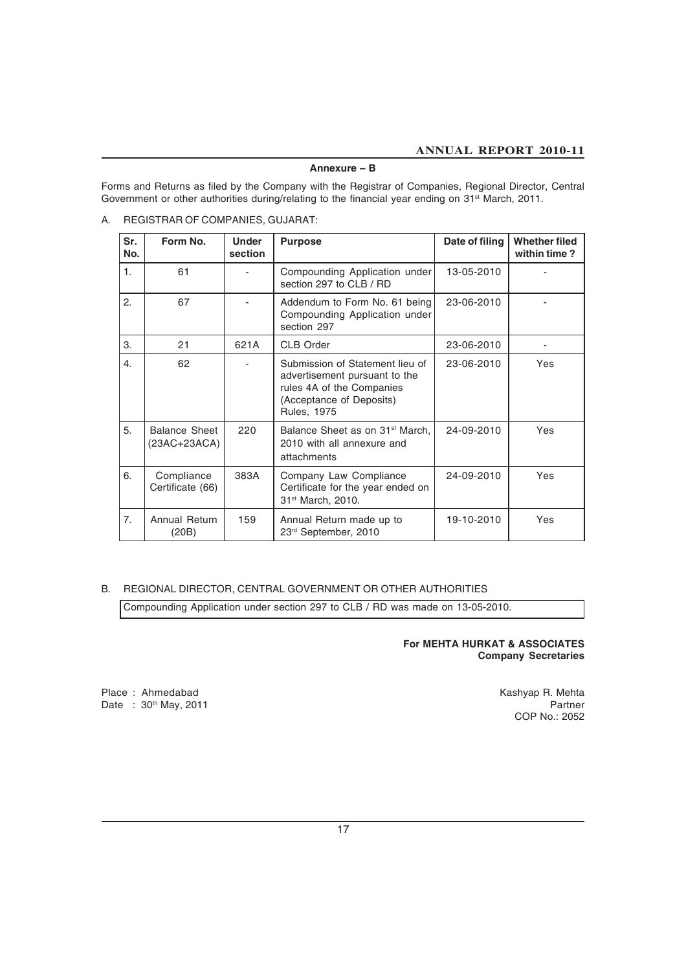### **Annexure – B**

Forms and Returns as filed by the Company with the Registrar of Companies, Regional Director, Central Government or other authorities during/relating to the financial year ending on 31<sup>st</sup> March, 2011.

A. REGISTRAR OF COMPANIES, GUJARAT:

| Sr.<br>No. | Form No.                             | <b>Under</b><br>section | <b>Purpose</b>                                                                                                                                  | Date of filing | <b>Whether filed</b><br>within time? |
|------------|--------------------------------------|-------------------------|-------------------------------------------------------------------------------------------------------------------------------------------------|----------------|--------------------------------------|
| 1.         | 61                                   |                         | Compounding Application under<br>section 297 to CLB / RD                                                                                        | 13-05-2010     |                                      |
| 2.         | 67                                   |                         | Addendum to Form No. 61 being<br>Compounding Application under<br>section 297                                                                   | 23-06-2010     |                                      |
| 3.         | 21                                   | 621A                    | <b>CLB Order</b>                                                                                                                                | 23-06-2010     |                                      |
| 4.         | 62                                   |                         | Submission of Statement lieu of<br>advertisement pursuant to the<br>rules 4A of the Companies<br>(Acceptance of Deposits)<br><b>Rules, 1975</b> | 23-06-2010     | Yes                                  |
| 5.         | <b>Balance Sheet</b><br>(23AC+23ACA) | 220                     | Balance Sheet as on 31 <sup>st</sup> March,<br>2010 with all annexure and<br>attachments                                                        | 24-09-2010     | Yes                                  |
| 6.         | Compliance<br>Certificate (66)       | 383A                    | Company Law Compliance<br>Certificate for the year ended on<br>31 <sup>st</sup> March, 2010.                                                    | 24-09-2010     | Yes                                  |
| 7.         | Annual Return<br>(20B)               | 159                     | Annual Return made up to<br>23rd September, 2010                                                                                                | 19-10-2010     | Yes                                  |

### B. REGIONAL DIRECTOR, CENTRAL GOVERNMENT OR OTHER AUTHORITIES

Compounding Application under section 297 to CLB / RD was made on 13-05-2010.

**For MEHTA HURKAT & ASSOCIATES Company Secretaries**

Place : Ahmedabad **Kashyap R. Mehta**<br>Date : 30<sup>th</sup> May, 2011 **Rathless Controller State Research Controller State Research Partner** Date :  $30<sup>th</sup>$  May, 2011

COP No.: 2052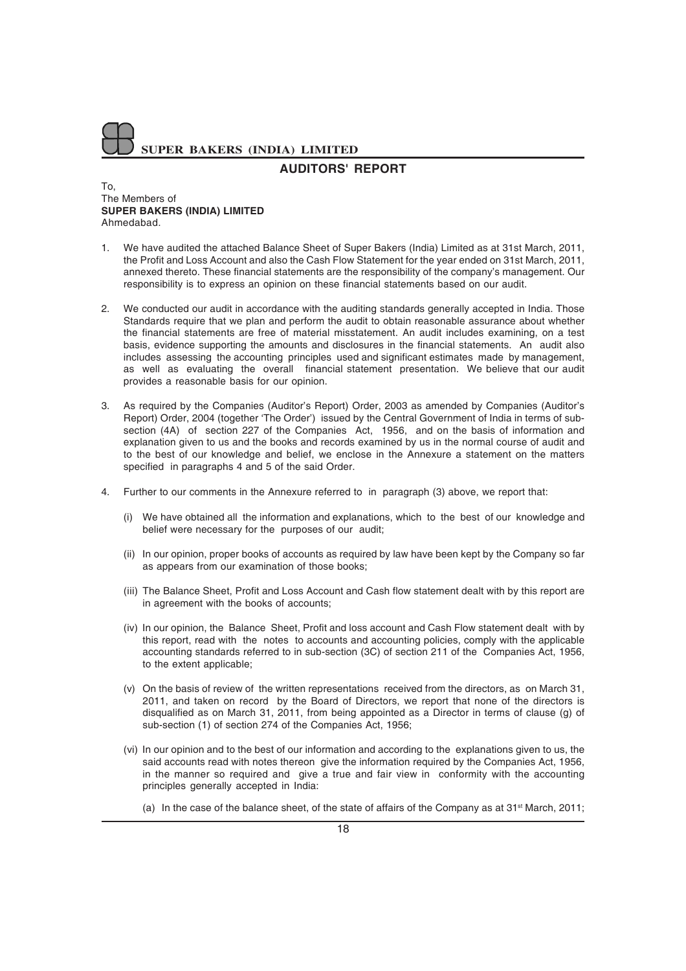### **AUDITORS' REPORT**

### To, The Members of **SUPER BAKERS (INDIA) LIMITED** Ahmedabad.

- 1. We have audited the attached Balance Sheet of Super Bakers (India) Limited as at 31st March, 2011, the Profit and Loss Account and also the Cash Flow Statement for the year ended on 31st March, 2011, annexed thereto. These financial statements are the responsibility of the company's management. Our responsibility is to express an opinion on these financial statements based on our audit.
- 2. We conducted our audit in accordance with the auditing standards generally accepted in India. Those Standards require that we plan and perform the audit to obtain reasonable assurance about whether the financial statements are free of material misstatement. An audit includes examining, on a test basis, evidence supporting the amounts and disclosures in the financial statements. An audit also includes assessing the accounting principles used and significant estimates made by management, as well as evaluating the overall financial statement presentation. We believe that our audit provides a reasonable basis for our opinion.
- 3. As required by the Companies (Auditor's Report) Order, 2003 as amended by Companies (Auditor's Report) Order, 2004 (together 'The Order') issued by the Central Government of India in terms of subsection (4A) of section 227 of the Companies Act, 1956, and on the basis of information and explanation given to us and the books and records examined by us in the normal course of audit and to the best of our knowledge and belief, we enclose in the Annexure a statement on the matters specified in paragraphs 4 and 5 of the said Order.
- 4. Further to our comments in the Annexure referred to in paragraph (3) above, we report that:
	- (i) We have obtained all the information and explanations, which to the best of our knowledge and belief were necessary for the purposes of our audit;
	- (ii) In our opinion, proper books of accounts as required by law have been kept by the Company so far as appears from our examination of those books;
	- (iii) The Balance Sheet, Profit and Loss Account and Cash flow statement dealt with by this report are in agreement with the books of accounts;
	- (iv) In our opinion, the Balance Sheet, Profit and loss account and Cash Flow statement dealt with by this report, read with the notes to accounts and accounting policies, comply with the applicable accounting standards referred to in sub-section (3C) of section 211 of the Companies Act, 1956, to the extent applicable;
	- (v) On the basis of review of the written representations received from the directors, as on March 31, 2011, and taken on record by the Board of Directors, we report that none of the directors is disqualified as on March 31, 2011, from being appointed as a Director in terms of clause (g) of sub-section (1) of section 274 of the Companies Act, 1956;
	- (vi) In our opinion and to the best of our information and according to the explanations given to us, the said accounts read with notes thereon give the information required by the Companies Act, 1956, in the manner so required and give a true and fair view in conformity with the accounting principles generally accepted in India:
		- (a) In the case of the balance sheet, of the state of affairs of the Company as at  $31<sup>st</sup>$  March, 2011;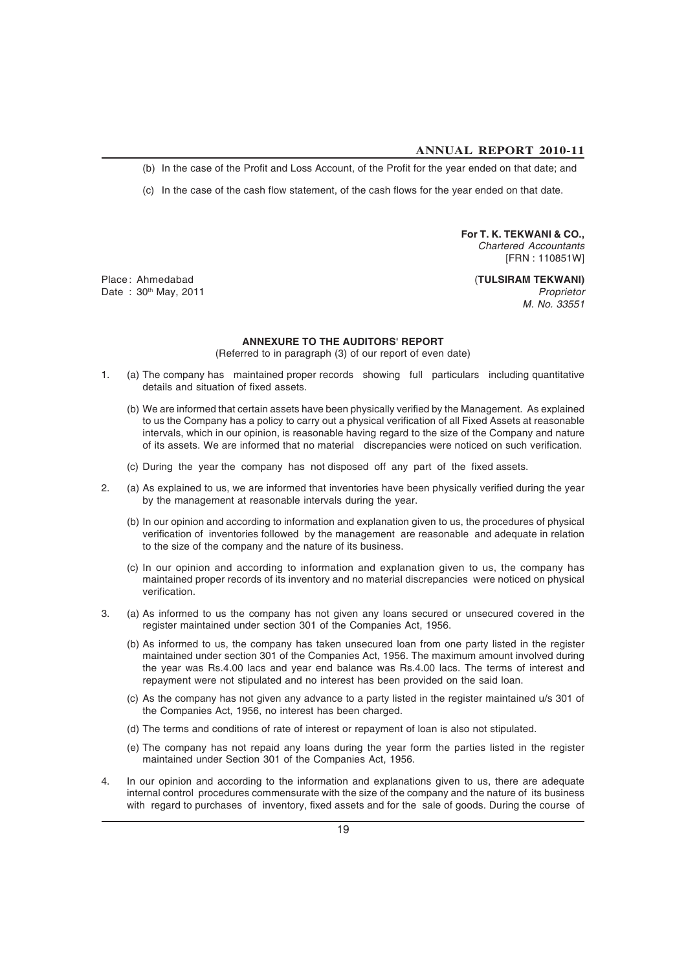(b) In the case of the Profit and Loss Account, of the Profit for the year ended on that date; and

(c) In the case of the cash flow statement, of the cash flows for the year ended on that date.

**For T. K. TEKWANI & CO.,** *Chartered Accountants* [FRN : 110851W]

Place : Ahmedabad (**TULSIRAM TEKWANI)** Date : 30th May, 2011 *Proprietor*

*M. No. 33551*

### **ANNEXURE TO THE AUDITORS' REPORT**

(Referred to in paragraph (3) of our report of even date)

- 1. (a) The company has maintained proper records showing full particulars including quantitative details and situation of fixed assets.
	- (b) We are informed that certain assets have been physically verified by the Management. As explained to us the Company has a policy to carry out a physical verification of all Fixed Assets at reasonable intervals, which in our opinion, is reasonable having regard to the size of the Company and nature of its assets. We are informed that no material discrepancies were noticed on such verification.
	- (c) During the year the company has not disposed off any part of the fixed assets.
- 2. (a) As explained to us, we are informed that inventories have been physically verified during the year by the management at reasonable intervals during the year.
	- (b) In our opinion and according to information and explanation given to us, the procedures of physical verification of inventories followed by the management are reasonable and adequate in relation to the size of the company and the nature of its business.
	- (c) In our opinion and according to information and explanation given to us, the company has maintained proper records of its inventory and no material discrepancies were noticed on physical verification.
- 3. (a) As informed to us the company has not given any loans secured or unsecured covered in the register maintained under section 301 of the Companies Act, 1956.
	- (b) As informed to us, the company has taken unsecured loan from one party listed in the register maintained under section 301 of the Companies Act, 1956. The maximum amount involved during the year was Rs.4.00 lacs and year end balance was Rs.4.00 lacs. The terms of interest and repayment were not stipulated and no interest has been provided on the said loan.
	- (c) As the company has not given any advance to a party listed in the register maintained u/s 301 of the Companies Act, 1956, no interest has been charged.
	- (d) The terms and conditions of rate of interest or repayment of loan is also not stipulated.
	- (e) The company has not repaid any loans during the year form the parties listed in the register maintained under Section 301 of the Companies Act, 1956.
- 4. In our opinion and according to the information and explanations given to us, there are adequate internal control procedures commensurate with the size of the company and the nature of its business with regard to purchases of inventory, fixed assets and for the sale of goods. During the course of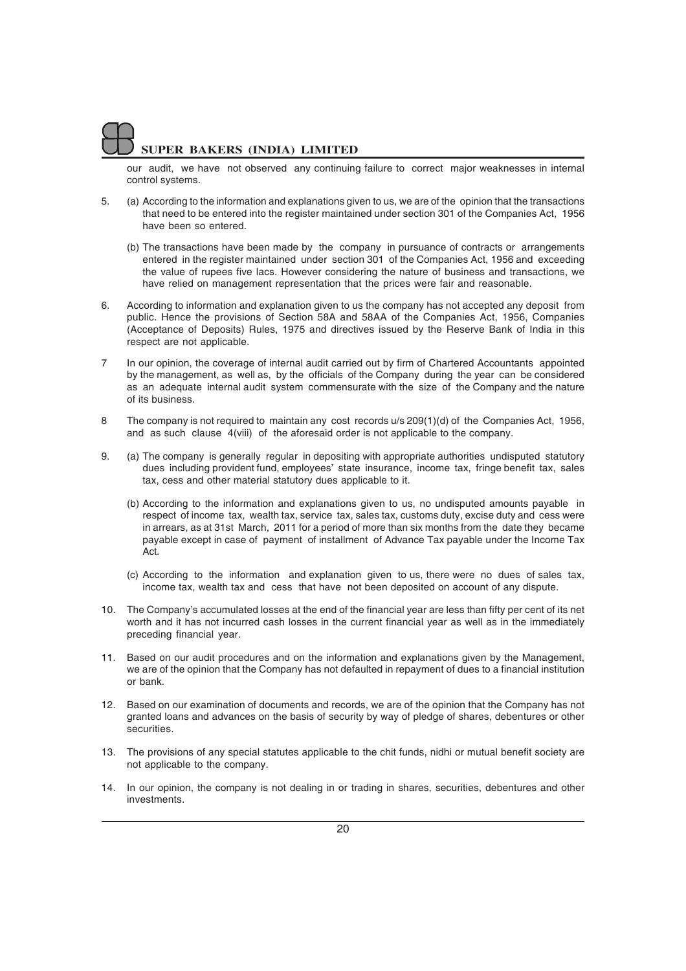our audit, we have not observed any continuing failure to correct major weaknesses in internal control systems.

- 5. (a) According to the information and explanations given to us, we are of the opinion that the transactions that need to be entered into the register maintained under section 301 of the Companies Act, 1956 have been so entered.
	- (b) The transactions have been made by the company in pursuance of contracts or arrangements entered in the register maintained under section 301 of the Companies Act, 1956 and exceeding the value of rupees five lacs. However considering the nature of business and transactions, we have relied on management representation that the prices were fair and reasonable.
- 6. According to information and explanation given to us the company has not accepted any deposit from public. Hence the provisions of Section 58A and 58AA of the Companies Act, 1956, Companies (Acceptance of Deposits) Rules, 1975 and directives issued by the Reserve Bank of India in this respect are not applicable.
- 7 In our opinion, the coverage of internal audit carried out by firm of Chartered Accountants appointed by the management, as well as, by the officials of the Company during the year can be considered as an adequate internal audit system commensurate with the size of the Company and the nature of its business.
- 8 The company is not required to maintain any cost records u/s 209(1)(d) of the Companies Act, 1956, and as such clause 4(viii) of the aforesaid order is not applicable to the company.
- 9. (a) The company is generally regular in depositing with appropriate authorities undisputed statutory dues including provident fund, employees' state insurance, income tax, fringe benefit tax, sales tax, cess and other material statutory dues applicable to it.
	- (b) According to the information and explanations given to us, no undisputed amounts payable in respect of income tax, wealth tax, service tax, sales tax, customs duty, excise duty and cess were in arrears, as at 31st March, 2011 for a period of more than six months from the date they became payable except in case of payment of installment of Advance Tax payable under the Income Tax Act.
	- (c) According to the information and explanation given to us, there were no dues of sales tax, income tax, wealth tax and cess that have not been deposited on account of any dispute.
- 10. The Company's accumulated losses at the end of the financial year are less than fifty per cent of its net worth and it has not incurred cash losses in the current financial year as well as in the immediately preceding financial year.
- 11. Based on our audit procedures and on the information and explanations given by the Management, we are of the opinion that the Company has not defaulted in repayment of dues to a financial institution or bank.
- 12. Based on our examination of documents and records, we are of the opinion that the Company has not granted loans and advances on the basis of security by way of pledge of shares, debentures or other securities.
- 13. The provisions of any special statutes applicable to the chit funds, nidhi or mutual benefit society are not applicable to the company.
- 14. In our opinion, the company is not dealing in or trading in shares, securities, debentures and other investments.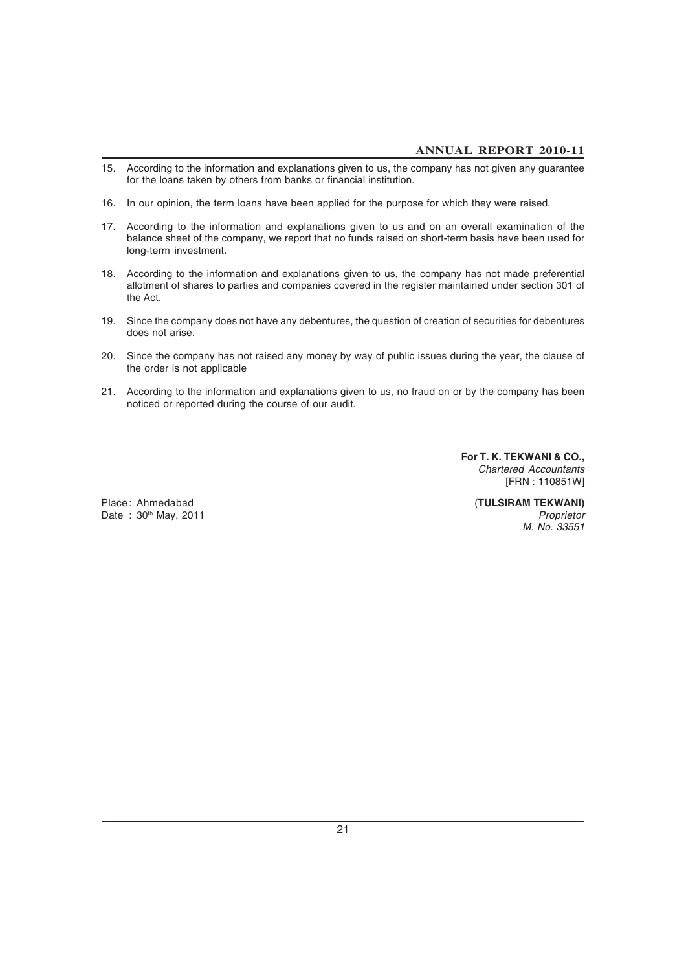- 15. According to the information and explanations given to us, the company has not given any guarantee for the loans taken by others from banks or financial institution.
- 16. In our opinion, the term loans have been applied for the purpose for which they were raised.
- 17. According to the information and explanations given to us and on an overall examination of the balance sheet of the company, we report that no funds raised on short-term basis have been used for long-term investment.
- 18. According to the information and explanations given to us, the company has not made preferential allotment of shares to parties and companies covered in the register maintained under section 301 of the Act.
- 19. Since the company does not have any debentures, the question of creation of securities for debentures does not arise.
- 20. Since the company has not raised any money by way of public issues during the year, the clause of the order is not applicable
- 21. According to the information and explanations given to us, no fraud on or by the company has been noticed or reported during the course of our audit.

**For T. K. TEKWANI & CO.,** *Chartered Accountants* [FRN : 110851W]

Place : Ahmedabad (**TULSIRAM TEKWANI)** Date : 30<sup>th</sup> May, 2011 *Proprietor Proprietor M. No. 33551*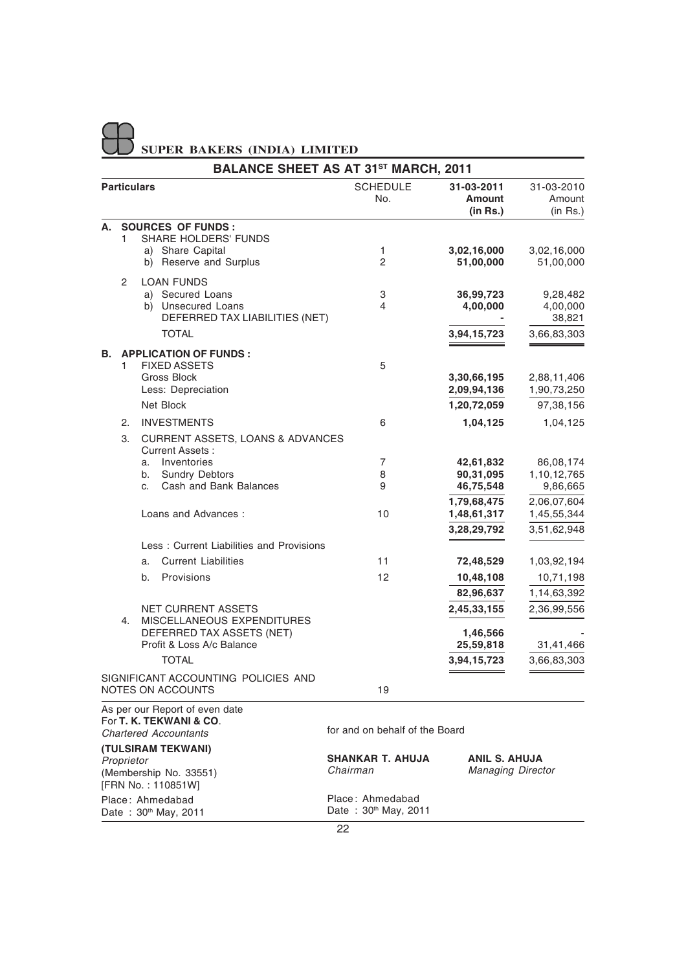|                         |            |                                                                | <b>BALANCE SHEET AS AT 31ST MARCH, 2011</b> |                                         |                                       |
|-------------------------|------------|----------------------------------------------------------------|---------------------------------------------|-----------------------------------------|---------------------------------------|
|                         |            | <b>Particulars</b>                                             | <b>SCHEDULE</b><br>No.                      | 31-03-2011<br><b>Amount</b><br>(in Rs.) | 31-03-2010<br>Amount<br>$(in$ Rs. $)$ |
| А.                      |            | <b>SOURCES OF FUNDS:</b>                                       |                                             |                                         |                                       |
|                         | 1          | <b>SHARE HOLDERS' FUNDS</b>                                    |                                             |                                         |                                       |
|                         |            | a) Share Capital<br>b) Reserve and Surplus                     | $\mathbf{1}$<br>$\overline{2}$              | 3,02,16,000<br>51,00,000                | 3,02,16,000<br>51,00,000              |
|                         |            | <b>LOAN FUNDS</b>                                              |                                             |                                         |                                       |
|                         | 2          | a) Secured Loans                                               | 3                                           | 36,99,723                               | 9,28,482                              |
|                         |            | b) Unsecured Loans                                             | 4                                           | 4,00,000                                | 4,00,000                              |
|                         |            | DEFERRED TAX LIABILITIES (NET)                                 |                                             |                                         | 38,821                                |
|                         |            | <b>TOTAL</b>                                                   |                                             | 3,94,15,723                             | 3,66,83,303                           |
| В.                      |            | <b>APPLICATION OF FUNDS:</b>                                   |                                             |                                         |                                       |
|                         | 1          | <b>FIXED ASSETS</b>                                            | 5                                           |                                         |                                       |
|                         |            | <b>Gross Block</b>                                             |                                             | 3,30,66,195                             | 2,88,11,406                           |
|                         |            | Less: Depreciation                                             |                                             | 2,09,94,136                             | 1,90,73,250                           |
|                         |            | Net Block                                                      |                                             | 1,20,72,059                             | 97,38,156                             |
|                         | 2.         | <b>INVESTMENTS</b>                                             | 6                                           | 1,04,125                                | 1,04,125                              |
|                         | 3.         | <b>CURRENT ASSETS, LOANS &amp; ADVANCES</b><br>Current Assets: |                                             |                                         |                                       |
|                         |            | Inventories<br>a.                                              | 7                                           | 42,61,832                               | 86,08,174                             |
|                         |            | <b>Sundry Debtors</b><br>b.<br>Cash and Bank Balances          | 8<br>9                                      | 90,31,095                               | 1,10,12,765                           |
|                         |            | C.                                                             |                                             | 46,75,548<br>1,79,68,475                | 9,86,665<br>2,06,07,604               |
|                         |            | Loans and Advances:                                            | 10                                          | 1,48,61,317                             | 1,45,55,344                           |
|                         |            |                                                                |                                             | 3,28,29,792                             | 3,51,62,948                           |
|                         |            | Less: Current Liabilities and Provisions                       |                                             |                                         |                                       |
|                         |            | <b>Current Liabilities</b><br>a.                               | 11                                          | 72,48,529                               | 1,03,92,194                           |
|                         |            | Provisions<br>b.                                               | 12                                          | 10,48,108                               | 10,71,198                             |
|                         |            |                                                                |                                             | 82,96,637                               | 1,14,63,392                           |
|                         |            | <b>NET CURRENT ASSETS</b>                                      |                                             | 2,45,33,155                             | 2,36,99,556                           |
|                         | 4.         | MISCELLANEOUS EXPENDITURES                                     |                                             |                                         |                                       |
|                         |            | DEFERRED TAX ASSETS (NET)                                      |                                             | 1,46,566                                |                                       |
|                         |            | Profit & Loss A/c Balance                                      |                                             | 25,59,818                               | 31,41,466                             |
|                         |            | <b>TOTAL</b>                                                   |                                             | 3,94,15,723                             | 3,66,83,303                           |
|                         |            | SIGNIFICANT ACCOUNTING POLICIES AND<br>NOTES ON ACCOUNTS       | 19                                          |                                         |                                       |
|                         |            | As per our Report of even date                                 |                                             |                                         |                                       |
| For T. K. TEKWANI & CO. |            |                                                                |                                             |                                         |                                       |
|                         |            | <b>Chartered Accountants</b>                                   | for and on behalf of the Board              |                                         |                                       |
|                         |            | (TULSIRAM TEKWANI)                                             | SHANKAR T. AHUJA                            | ANIL S. AHUJA                           |                                       |
|                         | Proprietor | (Membership No. 33551)                                         | Chairman                                    | <b>Managing Director</b>                |                                       |
|                         |            | [FRN No.: 110851W]                                             |                                             |                                         |                                       |
|                         |            | Place: Ahmedabad                                               | Place: Ahmedabad                            |                                         |                                       |

Date: 30<sup>th</sup> May, 2011

Date: 30th May, 2011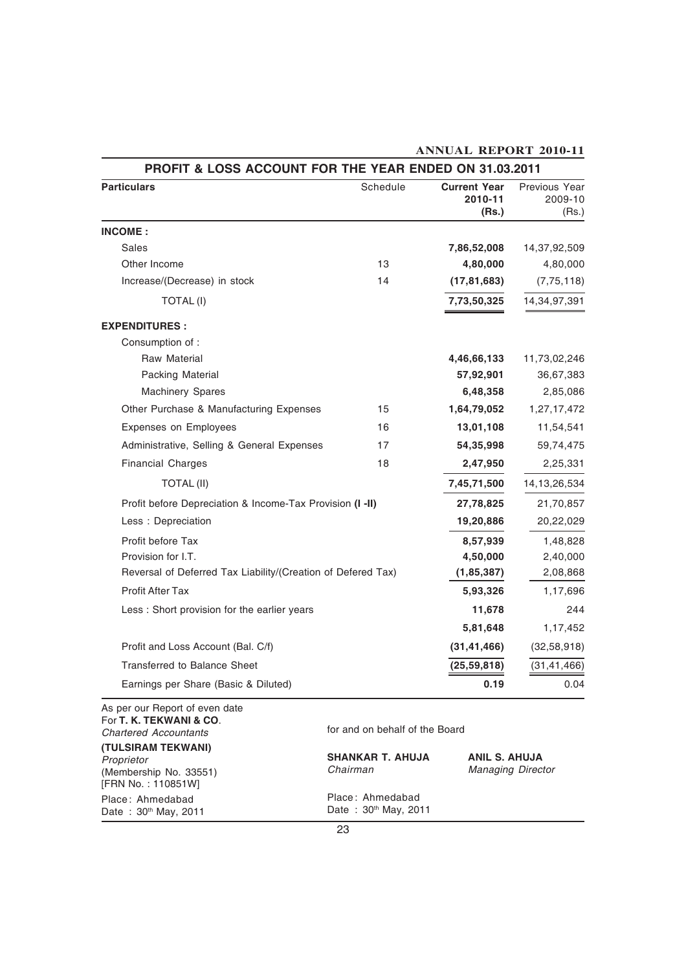| <b>Particulars</b>                                           | Schedule | <b>Current Year</b><br>2010-11<br>(Rs.) | Previous Year<br>2009-10<br>(Rs.) |
|--------------------------------------------------------------|----------|-----------------------------------------|-----------------------------------|
| <b>INCOME:</b>                                               |          |                                         |                                   |
| <b>Sales</b>                                                 |          | 7,86,52,008                             | 14,37,92,509                      |
| Other Income                                                 | 13       | 4,80,000                                | 4,80,000                          |
| Increase/(Decrease) in stock                                 | 14       | (17, 81, 683)                           | (7, 75, 118)                      |
| <b>TOTAL (I)</b>                                             |          | 7,73,50,325                             | 14,34,97,391                      |
| <b>EXPENDITURES:</b>                                         |          |                                         |                                   |
| Consumption of:                                              |          |                                         |                                   |
| <b>Raw Material</b>                                          |          | 4,46,66,133                             | 11,73,02,246                      |
| Packing Material                                             |          | 57,92,901                               | 36,67,383                         |
| <b>Machinery Spares</b>                                      |          | 6,48,358                                | 2,85,086                          |
| Other Purchase & Manufacturing Expenses                      | 15       | 1,64,79,052                             | 1,27,17,472                       |
| Expenses on Employees                                        | 16       | 13,01,108                               | 11,54,541                         |
| Administrative, Selling & General Expenses                   | 17       | 54,35,998                               | 59,74,475                         |
| <b>Financial Charges</b>                                     | 18       | 2,47,950                                | 2,25,331                          |
| <b>TOTAL (II)</b>                                            |          | 7,45,71,500                             | 14, 13, 26, 534                   |
| Profit before Depreciation & Income-Tax Provision (I -II)    |          | 27,78,825                               | 21,70,857                         |
| Less: Depreciation                                           |          | 19,20,886                               | 20,22,029                         |
| Profit before Tax                                            |          | 8,57,939                                | 1,48,828                          |
| Provision for I.T.                                           |          | 4,50,000                                | 2,40,000                          |
| Reversal of Deferred Tax Liability/(Creation of Defered Tax) |          | (1, 85, 387)                            | 2,08,868                          |
| <b>Profit After Tax</b>                                      |          | 5,93,326                                | 1,17,696                          |
| Less : Short provision for the earlier years                 |          | 11,678                                  | 244                               |
|                                                              |          | 5,81,648                                | 1,17,452                          |
| Profit and Loss Account (Bal. C/f)                           |          | (31, 41, 466)                           | (32, 58, 918)                     |
| <b>Transferred to Balance Sheet</b>                          |          | (25, 59, 818)                           | (31, 41, 466)                     |
| Earnings per Share (Basic & Diluted)                         |          | 0.19                                    | 0.04                              |

### **ANNUAL REPORT 2010-11**

As per our Report of even date For **T. K. TEKWANI & CO**. *Chartered Accountants* **(TULSIRAM TEKWANI)** *Proprietor* (Membership No. 33551) [FRN No. : 110851W] Place : Ahmedabad Date: 30th May, 2011

for and on behalf of the Board

**SHANKAR T. AHUJA ANIL S. AHUJA** *Chairman Managing Director* Place : Ahmedabad Date: 30th May, 2011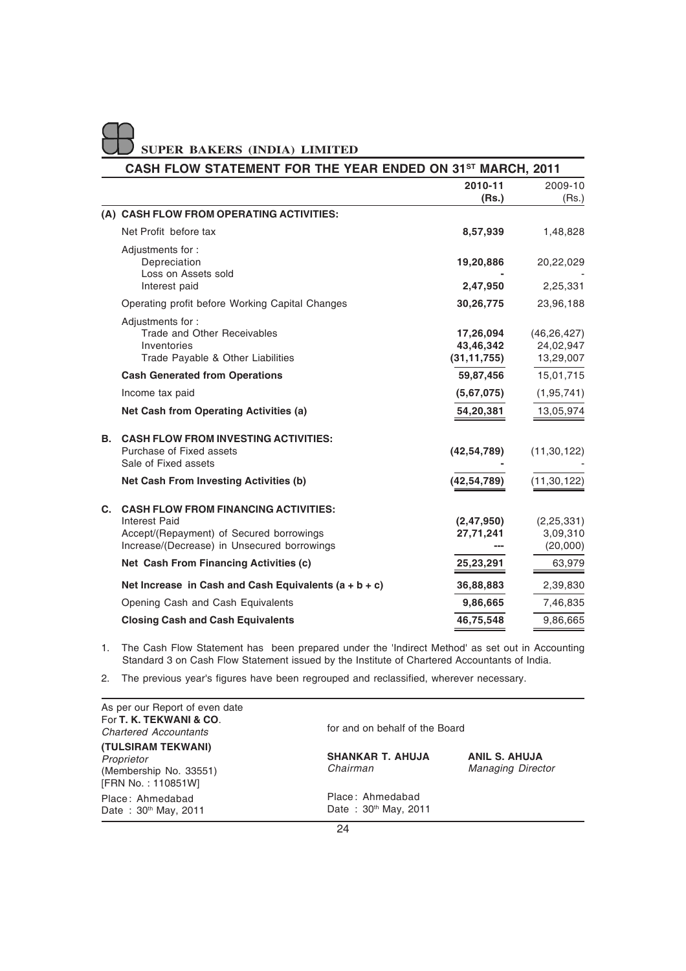|    | <b>SUPER BAKERS (INDIA) LIMITED</b>                                                                                                                            |                                         |                                         |
|----|----------------------------------------------------------------------------------------------------------------------------------------------------------------|-----------------------------------------|-----------------------------------------|
|    | CASH FLOW STATEMENT FOR THE YEAR ENDED ON 31 <sup>st</sup> MARCH, 2011                                                                                         |                                         |                                         |
|    |                                                                                                                                                                | 2010-11<br>(Rs.)                        | 2009-10<br>(Rs.)                        |
|    | (A) CASH FLOW FROM OPERATING ACTIVITIES:                                                                                                                       |                                         |                                         |
|    | Net Profit before tax                                                                                                                                          | 8,57,939                                | 1,48,828                                |
|    | Adjustments for:<br>Depreciation<br>Loss on Assets sold<br>Interest paid                                                                                       | 19,20,886<br>2,47,950                   | 20,22,029<br>2,25,331                   |
|    | Operating profit before Working Capital Changes                                                                                                                | 30,26,775                               | 23,96,188                               |
|    | Adjustments for:<br>Trade and Other Receivables<br>Inventories<br>Trade Payable & Other Liabilities                                                            | 17,26,094<br>43,46,342<br>(31, 11, 755) | (46, 26, 427)<br>24,02,947<br>13,29,007 |
|    | <b>Cash Generated from Operations</b>                                                                                                                          | 59,87,456                               | 15,01,715                               |
|    | Income tax paid                                                                                                                                                | (5,67,075)                              | (1, 95, 741)                            |
|    | Net Cash from Operating Activities (a)                                                                                                                         | 54,20,381                               | 13,05,974                               |
| В. | <b>CASH FLOW FROM INVESTING ACTIVITIES:</b><br>Purchase of Fixed assets<br>Sale of Fixed assets                                                                | (42, 54, 789)                           | (11, 30, 122)                           |
|    | Net Cash From Investing Activities (b)                                                                                                                         | (42, 54, 789)                           | (11, 30, 122)                           |
| C. | <b>CASH FLOW FROM FINANCING ACTIVITIES:</b><br><b>Interest Paid</b><br>Accept/(Repayment) of Secured borrowings<br>Increase/(Decrease) in Unsecured borrowings | (2, 47, 950)<br>27,71,241               | (2, 25, 331)<br>3,09,310<br>(20,000)    |
|    | Net Cash From Financing Activities (c)                                                                                                                         | 25,23,291                               | 63,979                                  |
|    | Net Increase in Cash and Cash Equivalents $(a + b + c)$                                                                                                        | 36,88,883                               | 2,39,830                                |
|    | Opening Cash and Cash Equivalents                                                                                                                              | 9,86,665                                | 7,46,835                                |
|    | <b>Closing Cash and Cash Equivalents</b>                                                                                                                       | 46,75,548                               | 9,86,665                                |

1. The Cash Flow Statement has been prepared under the 'Indirect Method' as set out in Accounting Standard 3 on Cash Flow Statement issued by the Institute of Chartered Accountants of India.

2. The previous year's figures have been regrouped and reclassified, wherever necessary.

| As per our Report of even date<br>For T. K. TEKWANI & CO.<br><b>Chartered Accountants</b> | for and on behalf of the Board           |                                                  |
|-------------------------------------------------------------------------------------------|------------------------------------------|--------------------------------------------------|
| (TULSIRAM TEKWANI)<br>Proprietor<br>(Membership No. 33551)<br>[FRN No.: 110851W]          | <b>SHANKAR T. AHUJA</b><br>Chairman      | <b>ANIL S. AHUJA</b><br><b>Managing Director</b> |
| Place: Ahmedabad<br>Date: 30th May, 2011                                                  | Place: Ahmedabad<br>Date: 30th May, 2011 |                                                  |
|                                                                                           | $\bigcap$                                |                                                  |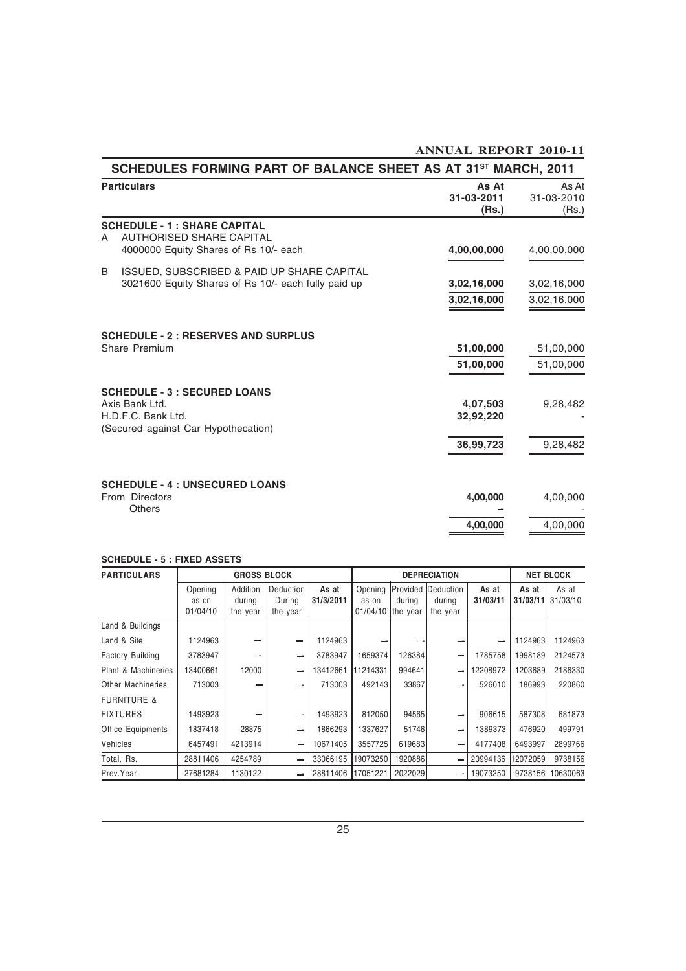| SCHEDULES FORMING PART OF BALANCE SHEET AS AT 31 <sup>st</sup> MARCH, 2011                                           |                              |                              |
|----------------------------------------------------------------------------------------------------------------------|------------------------------|------------------------------|
| <b>Particulars</b>                                                                                                   | As At<br>31-03-2011<br>(Rs.) | As At<br>31-03-2010<br>(Rs.) |
| <b>SCHEDULE - 1 : SHARE CAPITAL</b><br><b>AUTHORISED SHARE CAPITAL</b><br>A<br>4000000 Equity Shares of Rs 10/- each | 4,00,00,000                  | 4,00,00,000                  |
| <b>ISSUED, SUBSCRIBED &amp; PAID UP SHARE CAPITAL</b><br>B<br>3021600 Equity Shares of Rs 10/- each fully paid up    | 3,02,16,000<br>3,02,16,000   | 3,02,16,000<br>3,02,16,000   |
| <b>SCHEDULE - 2 : RESERVES AND SURPLUS</b><br>Share Premium                                                          | 51,00,000<br>51,00,000       | 51,00,000<br>51,00,000       |
| <b>SCHEDULE - 3 : SECURED LOANS</b><br>Axis Bank Ltd.<br>H.D.F.C. Bank Ltd.<br>(Secured against Car Hypothecation)   | 4,07,503<br>32,92,220        | 9,28,482                     |
|                                                                                                                      | 36,99,723                    | 9,28,482                     |
| <b>SCHEDULE - 4 : UNSECURED LOANS</b><br>From Directors<br><b>Others</b>                                             | 4,00,000                     | 4,00,000                     |
|                                                                                                                      | 4,00,000                     | 4,00,000                     |

**ANNUAL REPORT 2010-11**

### **SCHEDULE - 5 : FIXED ASSETS**

| <b>PARTICULARS</b>      |                              | <b>GROSS BLOCK</b>             |                                        |                    |                              | <b>DEPRECIATION</b>            |                                         |                   | <b>NET BLOCK</b>  |                   |  |
|-------------------------|------------------------------|--------------------------------|----------------------------------------|--------------------|------------------------------|--------------------------------|-----------------------------------------|-------------------|-------------------|-------------------|--|
|                         | Opening<br>as on<br>01/04/10 | Addition<br>durina<br>the year | <b>Deduction</b><br>During<br>the year | As at<br>31/3/2011 | Opening<br>as on<br>01/04/10 | Provided<br>durina<br>the year | <b>IDeduction</b><br>durina<br>the year | As at<br>31/03/11 | As at<br>31/03/11 | As at<br>31/03/10 |  |
| Land & Buildings        |                              |                                |                                        |                    |                              |                                |                                         |                   |                   |                   |  |
| Land & Site             | 1124963                      |                                | -                                      | 1124963            |                              |                                |                                         |                   | 1124963           | 1124963           |  |
| <b>Factory Building</b> | 3783947                      |                                | -                                      | 3783947            | 1659374                      | 126384                         | -                                       | 1785758           | 1998189           | 2124573           |  |
| Plant & Machineries     | 13400661                     | 12000                          | -                                      | 13412661           | 11214331                     | 994641                         | -                                       | 12208972          | 1203689           | 2186330           |  |
| Other Machineries       | 713003                       |                                |                                        | 713003             | 492143                       | 33867                          |                                         | 526010            | 186993            | 220860            |  |
| <b>FURNITURE &amp;</b>  |                              |                                |                                        |                    |                              |                                |                                         |                   |                   |                   |  |
| <b>FIXTURES</b>         | 1493923                      |                                |                                        | 1493923            | 812050                       | 94565                          |                                         | 906615            | 587308            | 681873            |  |
| Office Equipments       | 1837418                      | 28875                          | -                                      | 1866293            | 1337627                      | 51746                          | -                                       | 1389373           | 476920            | 499791            |  |
| Vehicles                | 6457491                      | 4213914                        | -                                      | 10671405           | 3557725                      | 619683                         | -                                       | 4177408           | 6493997           | 2899766           |  |
| Total, Rs.              | 28811406                     | 4254789                        | -                                      | 33066195           | 19073250                     | 1920886                        | -                                       | 20994136          | 12072059          | 9738156           |  |
| Prev.Year               | 27681284                     | 1130122                        | -                                      | 28811406           | 17051221                     | 2022029                        | -                                       | 19073250          | 9738156           | 10630063          |  |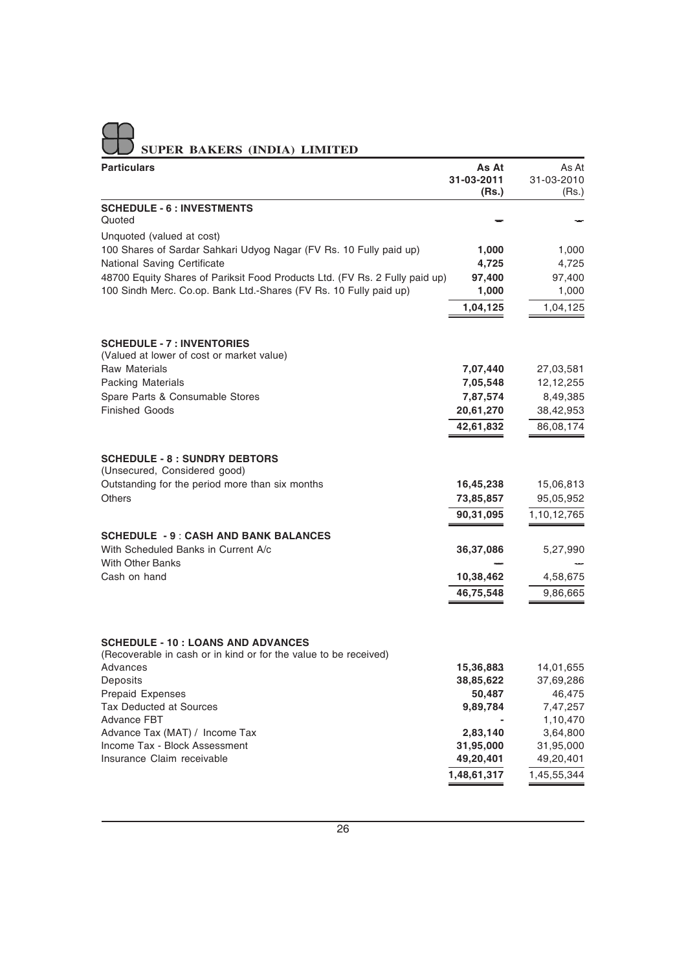|  |  | UU SUPER BAKERS (INDIA) LIMITED |
|--|--|---------------------------------|

| <b>Particulars</b>                                                           | As At               | As At               |
|------------------------------------------------------------------------------|---------------------|---------------------|
|                                                                              | 31-03-2011<br>(Rs.) | 31-03-2010<br>(Rs.) |
| <b>SCHEDULE - 6 : INVESTMENTS</b>                                            |                     |                     |
| Quoted                                                                       |                     |                     |
| Unquoted (valued at cost)                                                    |                     |                     |
| 100 Shares of Sardar Sahkari Udyog Nagar (FV Rs. 10 Fully paid up)           | 1,000               | 1,000               |
| National Saving Certificate                                                  | 4,725               | 4,725               |
| 48700 Equity Shares of Pariksit Food Products Ltd. (FV Rs. 2 Fully paid up)  | 97,400              | 97,400              |
| 100 Sindh Merc. Co.op. Bank Ltd.-Shares (FV Rs. 10 Fully paid up)            | 1,000               | 1,000               |
|                                                                              | 1,04,125            | 1,04,125            |
| <b>SCHEDULE - 7 : INVENTORIES</b>                                            |                     |                     |
| (Valued at lower of cost or market value)                                    |                     |                     |
| Raw Materials                                                                | 7,07,440            | 27,03,581           |
| Packing Materials                                                            | 7,05,548            | 12,12,255           |
| Spare Parts & Consumable Stores                                              | 7,87,574            | 8,49,385            |
| <b>Finished Goods</b>                                                        | 20,61,270           | 38,42,953           |
|                                                                              | 42,61,832           | 86,08,174           |
| <b>SCHEDULE - 8 : SUNDRY DEBTORS</b>                                         |                     |                     |
| (Unsecured, Considered good)                                                 |                     |                     |
| Outstanding for the period more than six months                              | 16,45,238           | 15,06,813           |
| <b>Others</b>                                                                | 73,85,857           | 95,05,952           |
|                                                                              | 90,31,095           | 1,10,12,765         |
| <b>SCHEDULE - 9: CASH AND BANK BALANCES</b>                                  |                     |                     |
| With Scheduled Banks in Current A/c                                          | 36,37,086           | 5,27,990            |
| <b>With Other Banks</b><br>Cash on hand                                      | 10,38,462           | 4,58,675            |
|                                                                              | 46,75,548           | 9,86,665            |
|                                                                              |                     |                     |
| <b>SCHEDULE - 10 : LOANS AND ADVANCES</b>                                    |                     |                     |
| (Recoverable in cash or in kind or for the value to be received)<br>Advances | 15,36,883           | 14,01,655           |
| Deposits                                                                     | 38,85,622           | 37,69,286           |
| <b>Prepaid Expenses</b>                                                      | 50,487              | 46,475              |
| <b>Tax Deducted at Sources</b>                                               | 9,89,784            | 7,47,257            |
| <b>Advance FBT</b>                                                           |                     | 1,10,470            |
| Advance Tax (MAT) / Income Tax                                               | 2,83,140            | 3,64,800            |
| Income Tax - Block Assessment                                                | 31,95,000           | 31,95,000           |
| Insurance Claim receivable                                                   | 49,20,401           | 49,20,401           |
|                                                                              | 1,48,61,317         | 1,45,55,344         |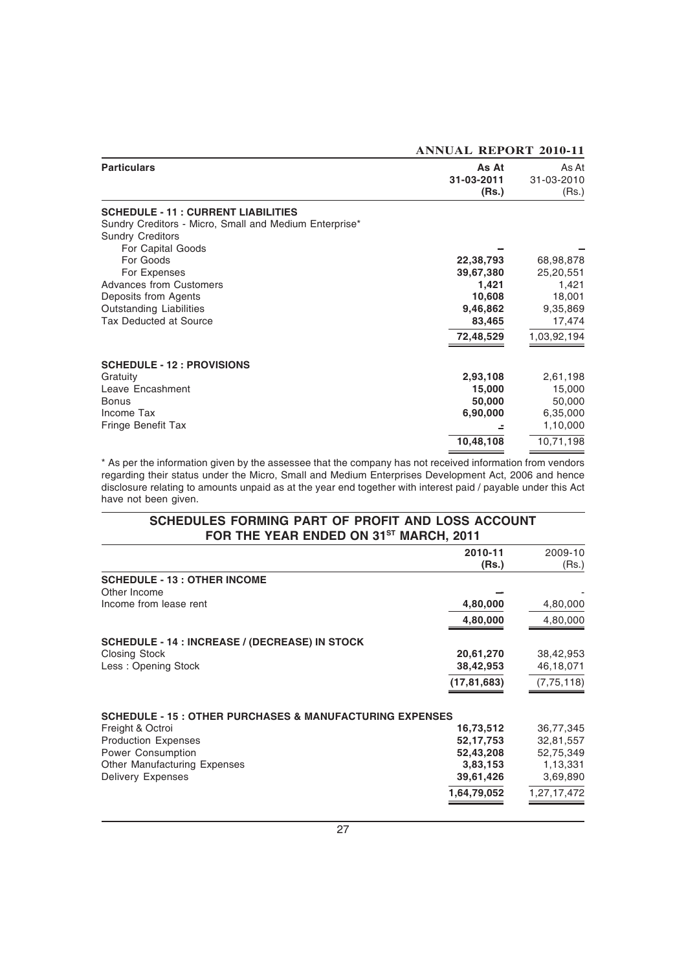| <b>Particulars</b>                                     | As At<br>31-03-2011<br>(Rs.) | As At<br>31-03-2010<br>(Rs.) |
|--------------------------------------------------------|------------------------------|------------------------------|
| <b>SCHEDULE - 11: CURRENT LIABILITIES</b>              |                              |                              |
| Sundry Creditors - Micro, Small and Medium Enterprise* |                              |                              |
| <b>Sundry Creditors</b>                                |                              |                              |
| For Capital Goods                                      |                              |                              |
| For Goods                                              | 22,38,793                    | 68,98,878                    |
| For Expenses                                           | 39,67,380                    | 25,20,551                    |
| <b>Advances from Customers</b>                         | 1,421                        | 1,421                        |
| Deposits from Agents                                   | 10,608                       | 18,001                       |
| <b>Outstanding Liabilities</b>                         | 9,46,862                     | 9,35,869                     |
| Tax Deducted at Source                                 | 83,465                       | 17,474                       |
|                                                        | 72,48,529                    | 1,03,92,194                  |
| <b>SCHEDULE - 12 : PROVISIONS</b>                      |                              |                              |
| Gratuity                                               | 2,93,108                     | 2,61,198                     |
| Leave Encashment                                       | 15,000                       | 15,000                       |
| <b>Bonus</b>                                           | 50,000                       | 50,000                       |
| Income Tax                                             | 6,90,000                     | 6,35,000                     |
| Fringe Benefit Tax                                     |                              | 1,10,000                     |
|                                                        | 10,48,108                    | 10,71,198                    |

**ANNUAL REPORT 2010-11**

\* As per the information given by the assessee that the company has not received information from vendors regarding their status under the Micro, Small and Medium Enterprises Development Act, 2006 and hence disclosure relating to amounts unpaid as at the year end together with interest paid / payable under this Act have not been given.

### **SCHEDULES FORMING PART OF PROFIT AND LOSS ACCOUNT** FOR THE YEAR ENDED ON 31<sup>ST</sup> MARCH, 2011

|                                                                     | 2010-11       | 2009-10      |
|---------------------------------------------------------------------|---------------|--------------|
|                                                                     | (Rs.)         | (Rs.)        |
| <b>SCHEDULE - 13 : OTHER INCOME</b>                                 |               |              |
| Other Income                                                        |               |              |
| Income from lease rent                                              | 4,80,000      | 4,80,000     |
|                                                                     | 4,80,000      | 4,80,000     |
| <b>SCHEDULE - 14 : INCREASE / (DECREASE) IN STOCK</b>               |               |              |
| <b>Closing Stock</b>                                                | 20,61,270     | 38,42,953    |
| Less: Opening Stock                                                 | 38,42,953     | 46,18,071    |
|                                                                     | (17, 81, 683) | (7, 75, 118) |
| <b>SCHEDULE - 15 : OTHER PURCHASES &amp; MANUFACTURING EXPENSES</b> |               |              |
| Freight & Octroi                                                    | 16,73,512     | 36,77,345    |
| <b>Production Expenses</b>                                          | 52, 17, 753   | 32,81,557    |
| Power Consumption                                                   | 52,43,208     | 52,75,349    |
| Other Manufacturing Expenses                                        | 3,83,153      | 1,13,331     |
| <b>Delivery Expenses</b>                                            | 39,61,426     | 3,69,890     |
|                                                                     | 1,64,79,052   | 1,27,17,472  |
|                                                                     |               |              |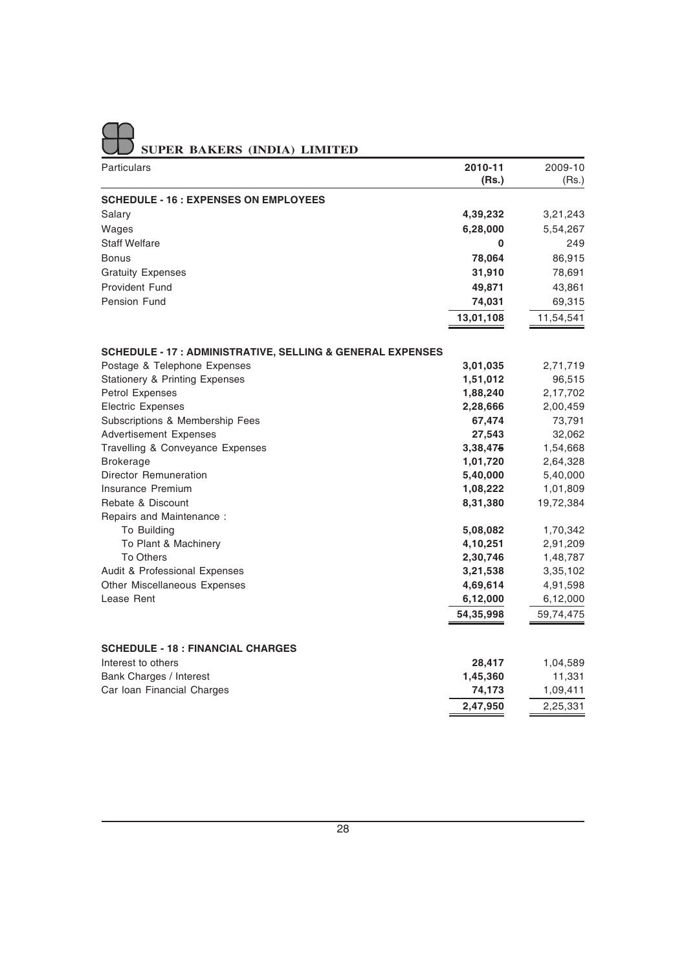|  |  | SUPER BAKERS (INDIA) LIMITED |
|--|--|------------------------------|

| Particulars                                                           | 2010-11   | 2009-10            |
|-----------------------------------------------------------------------|-----------|--------------------|
|                                                                       | (Rs.)     | (Rs.)              |
| <b>SCHEDULE - 16 : EXPENSES ON EMPLOYEES</b>                          |           |                    |
| Salary                                                                | 4,39,232  | 3,21,243           |
| Wages                                                                 | 6,28,000  | 5,54,267           |
| <b>Staff Welfare</b>                                                  | 0         | 249                |
| <b>Bonus</b>                                                          | 78,064    | 86,915             |
| <b>Gratuity Expenses</b>                                              | 31,910    | 78,691             |
| <b>Provident Fund</b>                                                 | 49,871    | 43,861             |
| Pension Fund                                                          | 74,031    | 69,315             |
|                                                                       | 13,01,108 | 11,54,541          |
|                                                                       |           |                    |
| <b>SCHEDULE - 17 : ADMINISTRATIVE, SELLING &amp; GENERAL EXPENSES</b> |           |                    |
| Postage & Telephone Expenses                                          | 3,01,035  | 2,71,719           |
| <b>Stationery &amp; Printing Expenses</b>                             | 1,51,012  | 96,515             |
| Petrol Expenses                                                       | 1,88,240  | 2,17,702           |
| <b>Electric Expenses</b>                                              | 2,28,666  | 2,00,459           |
| Subscriptions & Membership Fees                                       | 67,474    | 73,791             |
| <b>Advertisement Expenses</b>                                         | 27,543    | 32,062             |
| Travelling & Conveyance Expenses                                      | 3,38,475  | 1,54,668           |
| <b>Brokerage</b>                                                      | 1,01,720  | 2,64,328           |
| Director Remuneration                                                 | 5,40,000  | 5,40,000           |
| Insurance Premium                                                     | 1,08,222  | 1,01,809           |
| Rebate & Discount                                                     | 8,31,380  | 19,72,384          |
| Repairs and Maintenance:                                              |           |                    |
| To Building                                                           | 5,08,082  | 1,70,342           |
| To Plant & Machinery                                                  | 4,10,251  | 2,91,209           |
| <b>To Others</b>                                                      | 2,30,746  | 1,48,787           |
| Audit & Professional Expenses                                         | 3,21,538  | 3,35,102           |
| Other Miscellaneous Expenses                                          | 4,69,614  | 4,91,598           |
| Lease Rent                                                            | 6,12,000  | 6,12,000           |
|                                                                       | 54,35,998 | 59,74,475          |
| <b>SCHEDULE - 18 : FINANCIAL CHARGES</b>                              |           |                    |
| Interest to others                                                    | 28,417    |                    |
| Bank Charges / Interest                                               | 1,45,360  | 1,04,589           |
| Car Ioan Financial Charges                                            | 74,173    | 11,331<br>1,09,411 |
|                                                                       | 2,47,950  | 2,25,331           |
|                                                                       |           |                    |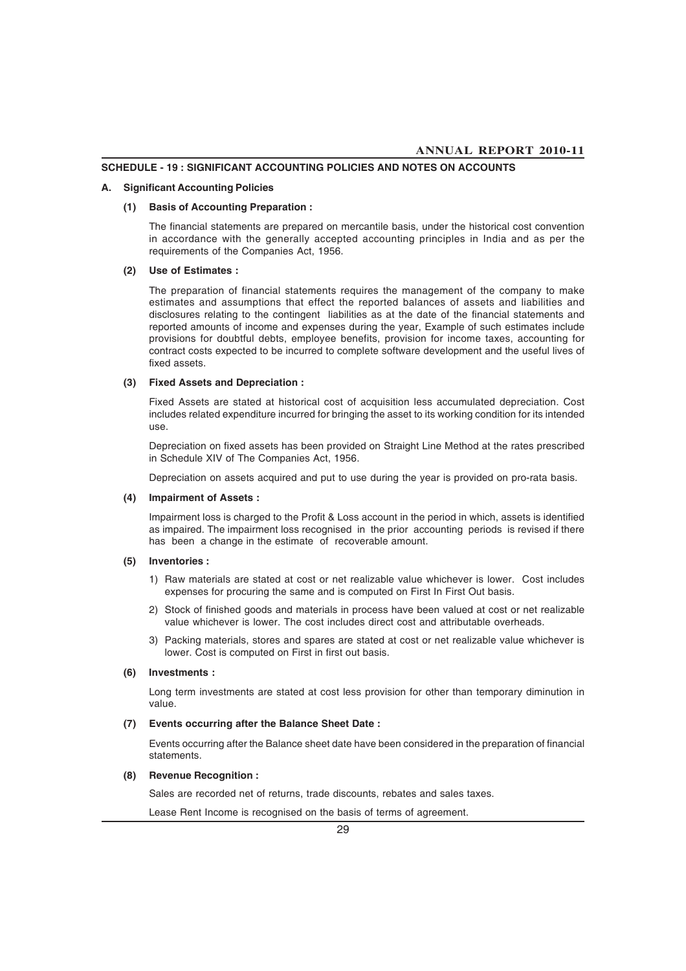### **SCHEDULE - 19 : SIGNIFICANT ACCOUNTING POLICIES AND NOTES ON ACCOUNTS**

### **A. Significant Accounting Policies**

### **(1) Basis of Accounting Preparation :**

The financial statements are prepared on mercantile basis, under the historical cost convention in accordance with the generally accepted accounting principles in India and as per the requirements of the Companies Act, 1956.

### **(2) Use of Estimates :**

The preparation of financial statements requires the management of the company to make estimates and assumptions that effect the reported balances of assets and liabilities and disclosures relating to the contingent liabilities as at the date of the financial statements and reported amounts of income and expenses during the year, Example of such estimates include provisions for doubtful debts, employee benefits, provision for income taxes, accounting for contract costs expected to be incurred to complete software development and the useful lives of fixed assets.

### **(3) Fixed Assets and Depreciation :**

Fixed Assets are stated at historical cost of acquisition less accumulated depreciation. Cost includes related expenditure incurred for bringing the asset to its working condition for its intended use.

Depreciation on fixed assets has been provided on Straight Line Method at the rates prescribed in Schedule XIV of The Companies Act, 1956.

Depreciation on assets acquired and put to use during the year is provided on pro-rata basis.

### **(4) Impairment of Assets :**

Impairment loss is charged to the Profit & Loss account in the period in which, assets is identified as impaired. The impairment loss recognised in the prior accounting periods is revised if there has been a change in the estimate of recoverable amount.

#### **(5) Inventories :**

- 1) Raw materials are stated at cost or net realizable value whichever is lower. Cost includes expenses for procuring the same and is computed on First In First Out basis.
- 2) Stock of finished goods and materials in process have been valued at cost or net realizable value whichever is lower. The cost includes direct cost and attributable overheads.
- 3) Packing materials, stores and spares are stated at cost or net realizable value whichever is lower. Cost is computed on First in first out basis.

### **(6) Investments :**

Long term investments are stated at cost less provision for other than temporary diminution in value.

### **(7) Events occurring after the Balance Sheet Date :**

Events occurring after the Balance sheet date have been considered in the preparation of financial statements.

### **(8) Revenue Recognition :**

Sales are recorded net of returns, trade discounts, rebates and sales taxes.

Lease Rent Income is recognised on the basis of terms of agreement.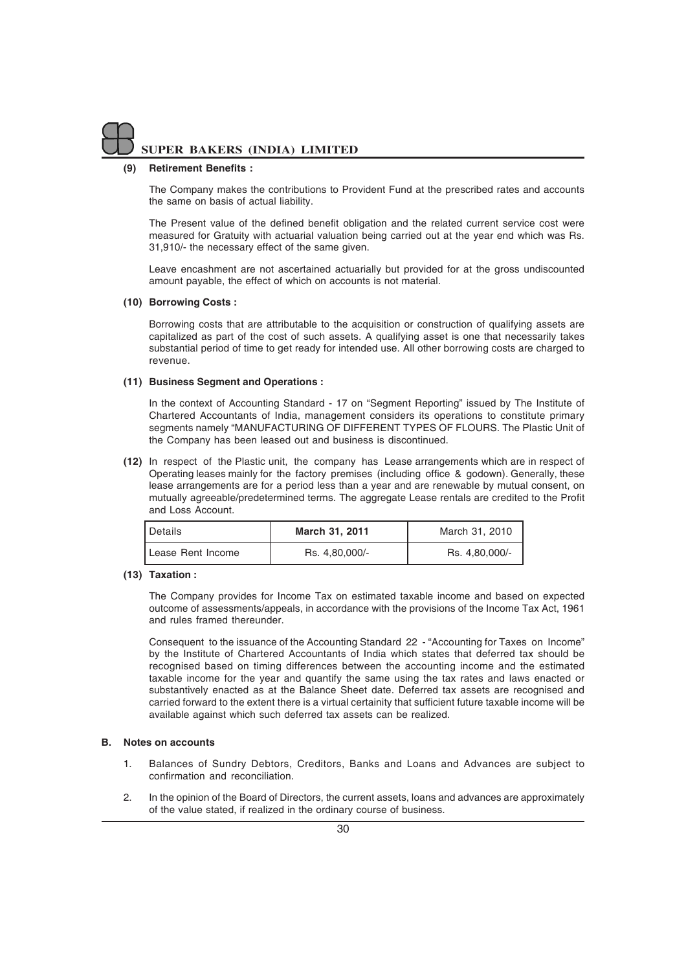### **(9) Retirement Benefits :**

The Company makes the contributions to Provident Fund at the prescribed rates and accounts the same on basis of actual liability.

The Present value of the defined benefit obligation and the related current service cost were measured for Gratuity with actuarial valuation being carried out at the year end which was Rs. 31,910/- the necessary effect of the same given.

Leave encashment are not ascertained actuarially but provided for at the gross undiscounted amount payable, the effect of which on accounts is not material.

### **(10) Borrowing Costs :**

Borrowing costs that are attributable to the acquisition or construction of qualifying assets are capitalized as part of the cost of such assets. A qualifying asset is one that necessarily takes substantial period of time to get ready for intended use. All other borrowing costs are charged to revenue.

### **(11) Business Segment and Operations :**

In the context of Accounting Standard - 17 on "Segment Reporting" issued by The Institute of Chartered Accountants of India, management considers its operations to constitute primary segments namely "MANUFACTURING OF DIFFERENT TYPES OF FLOURS. The Plastic Unit of the Company has been leased out and business is discontinued.

**(12)** In respect of the Plastic unit, the company has Lease arrangements which are in respect of Operating leases mainly for the factory premises (including office & godown). Generally, these lease arrangements are for a period less than a year and are renewable by mutual consent, on mutually agreeable/predetermined terms. The aggregate Lease rentals are credited to the Profit and Loss Account.

| l Details           | March 31, 2011 | March 31, 2010 |
|---------------------|----------------|----------------|
| I Lease Rent Income | Rs. 4,80,000/- | Rs. 4,80,000/- |

### **(13) Taxation :**

The Company provides for Income Tax on estimated taxable income and based on expected outcome of assessments/appeals, in accordance with the provisions of the Income Tax Act, 1961 and rules framed thereunder.

Consequent to the issuance of the Accounting Standard 22 - "Accounting for Taxes on Income" by the Institute of Chartered Accountants of India which states that deferred tax should be recognised based on timing differences between the accounting income and the estimated taxable income for the year and quantify the same using the tax rates and laws enacted or substantively enacted as at the Balance Sheet date. Deferred tax assets are recognised and carried forward to the extent there is a virtual certainity that sufficient future taxable income will be available against which such deferred tax assets can be realized.

### **B. Notes on accounts**

- 1. Balances of Sundry Debtors, Creditors, Banks and Loans and Advances are subject to confirmation and reconciliation.
- 2. In the opinion of the Board of Directors, the current assets, loans and advances are approximately of the value stated, if realized in the ordinary course of business.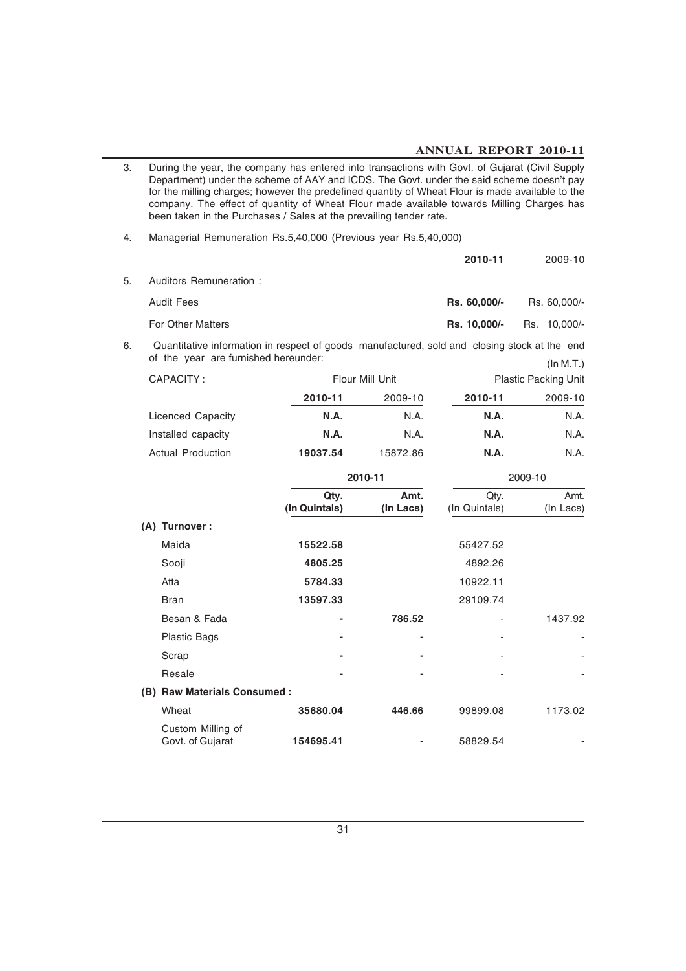### **ANNUAL REPORT 2010-11**

3. During the year, the company has entered into transactions with Govt. of Gujarat (Civil Supply Department) under the scheme of AAY and ICDS. The Govt. under the said scheme doesn't pay for the milling charges; however the predefined quantity of Wheat Flour is made available to the company. The effect of quantity of Wheat Flour made available towards Milling Charges has been taken in the Purchases / Sales at the prevailing tender rate.

4. Managerial Remuneration Rs.5,40,000 (Previous year Rs.5,40,000)

|    |                          | 2010-11      | 2009-10      |
|----|--------------------------|--------------|--------------|
| 5. | Auditors Remuneration:   |              |              |
|    | <b>Audit Fees</b>        | Rs. 60,000/- | Rs. 60,000/- |
|    | <b>For Other Matters</b> | Rs. 10,000/- | Rs. 10,000/- |

6. Quantitative information in respect of goods manufactured, sold and closing stock at the end of the year are furnished hereunder: (In M.T.)

| CAPACITY:                |             | Flour Mill Unit | <b>Plastic Packing Unit</b> |         |  |
|--------------------------|-------------|-----------------|-----------------------------|---------|--|
|                          | 2010-11     | 2009-10         | 2010-11                     | 2009-10 |  |
| Licenced Capacity        | N.A.        | N.A.            | <b>N.A.</b>                 | N.A.    |  |
| Installed capacity       | <b>N.A.</b> | N.A.            | <b>N.A.</b>                 | N.A.    |  |
| <b>Actual Production</b> | 19037.54    | 15872.86        | <b>N.A.</b>                 | N.A.    |  |

|     |                                       | 2010-11               |                   | 2009-10               |                   |  |
|-----|---------------------------------------|-----------------------|-------------------|-----------------------|-------------------|--|
|     |                                       | Qty.<br>(In Quintals) | Amt.<br>(In Lacs) | Qty.<br>(In Quintals) | Amt.<br>(In Lacs) |  |
|     | (A) Turnover :                        |                       |                   |                       |                   |  |
|     | Maida                                 | 15522.58              |                   | 55427.52              |                   |  |
|     | Sooji                                 | 4805.25               |                   | 4892.26               |                   |  |
|     | Atta                                  | 5784.33               |                   | 10922.11              |                   |  |
|     | <b>Bran</b>                           | 13597.33              |                   | 29109.74              |                   |  |
|     | Besan & Fada                          |                       | 786.52            | ۰                     | 1437.92           |  |
|     | <b>Plastic Bags</b>                   |                       |                   | ٠                     |                   |  |
|     | Scrap                                 |                       |                   | ۰                     |                   |  |
|     | Resale                                |                       |                   |                       |                   |  |
| (B) | <b>Raw Materials Consumed:</b>        |                       |                   |                       |                   |  |
|     | Wheat                                 | 35680.04              | 446.66            | 99899.08              | 1173.02           |  |
|     | Custom Milling of<br>Govt. of Gujarat | 154695.41             |                   | 58829.54              |                   |  |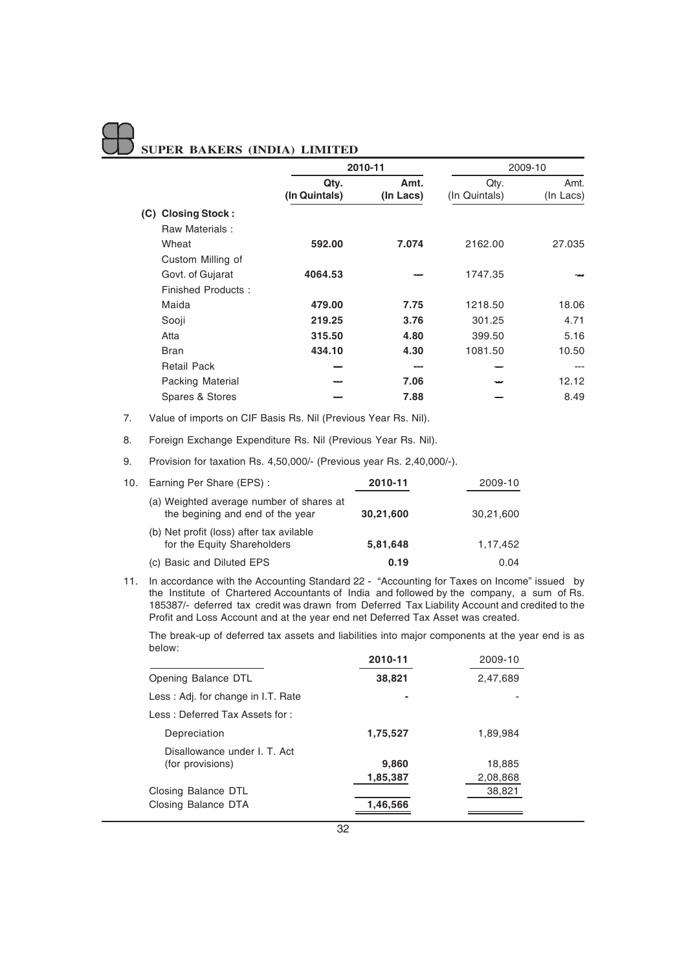|                              | 2010-11               |                   |                       | 2009-10           |
|------------------------------|-----------------------|-------------------|-----------------------|-------------------|
|                              | Qty.<br>(In Quintals) | Amt.<br>(In Lacs) | Qtv.<br>(In Quintals) | Amt.<br>(In Lacs) |
| <b>Closing Stock:</b><br>(C) |                       |                   |                       |                   |
| Raw Materials:               |                       |                   |                       |                   |
| Wheat                        | 592.00                | 7.074             | 2162.00               | 27.035            |
| Custom Milling of            |                       |                   |                       |                   |
| Govt. of Gujarat             | 4064.53               |                   | 1747.35               |                   |
| Finished Products:           |                       |                   |                       |                   |
| Maida                        | 479.00                | 7.75              | 1218.50               | 18.06             |
| Sooji                        | 219.25                | 3.76              | 301.25                | 4.71              |
| Atta                         | 315.50                | 4.80              | 399.50                | 5.16              |
| <b>Bran</b>                  | 434.10                | 4.30              | 1081.50               | 10.50             |
| <b>Retail Pack</b>           |                       | ---               |                       | ---               |
| <b>Packing Material</b>      |                       | 7.06              |                       | 12.12             |
| Spares & Stores              |                       | 7.88              |                       | 8.49              |

7. Value of imports on CIF Basis Rs. Nil (Previous Year Rs. Nil).

8. Foreign Exchange Expenditure Rs. Nil (Previous Year Rs. Nil).

9. Provision for taxation Rs. 4,50,000/- (Previous year Rs. 2,40,000/-).

| 10. | Earning Per Share (EPS):                                                     | 2010-11   | 2009-10   |
|-----|------------------------------------------------------------------------------|-----------|-----------|
|     | (a) Weighted average number of shares at<br>the begining and end of the year | 30,21,600 | 30,21,600 |
|     | (b) Net profit (loss) after tax avilable<br>for the Equity Shareholders      | 5,81,648  | 1,17,452  |
|     | (c) Basic and Diluted EPS                                                    | 0.19      | 0.04      |

11. In accordance with the Accounting Standard 22 - "Accounting for Taxes on Income" issued by the Institute of Chartered Accountants of India and followed by the company, a sum of Rs. 185387/- deferred tax credit was drawn from Deferred Tax Liability Account and credited to the Profit and Loss Account and at the year end net Deferred Tax Asset was created.

The break-up of deferred tax assets and liabilities into major components at the year end is as below:

|                                                  | 2010-11  | 2009-10  |
|--------------------------------------------------|----------|----------|
| Opening Balance DTL                              | 38,821   | 2,47,689 |
| Less: Adj. for change in I.T. Rate               |          |          |
| Less: Deferred Tax Assets for:                   |          |          |
| Depreciation                                     | 1,75,527 | 1,89,984 |
| Disallowance under I. T. Act<br>(for provisions) | 9,860    | 18.885   |
|                                                  | 1,85,387 | 2,08,868 |
| Closing Balance DTL                              |          | 38,821   |
| Closing Balance DTA                              | 1,46,566 |          |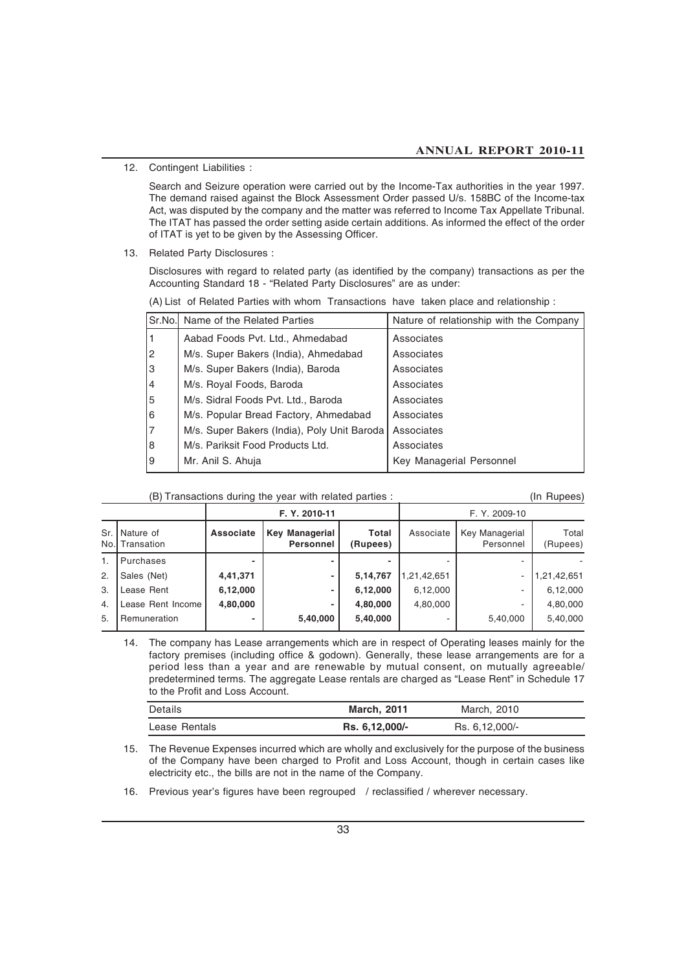12. Contingent Liabilities :

Search and Seizure operation were carried out by the Income-Tax authorities in the year 1997. The demand raised against the Block Assessment Order passed U/s. 158BC of the Income-tax Act, was disputed by the company and the matter was referred to Income Tax Appellate Tribunal. The ITAT has passed the order setting aside certain additions. As informed the effect of the order of ITAT is yet to be given by the Assessing Officer.

13. Related Party Disclosures :

Disclosures with regard to related party (as identified by the company) transactions as per the Accounting Standard 18 - "Related Party Disclosures" are as under:

|  | (A) List of Related Parties with whom Transactions have taken place and relationship: |  |  |  |  |  |  |
|--|---------------------------------------------------------------------------------------|--|--|--|--|--|--|
|--|---------------------------------------------------------------------------------------|--|--|--|--|--|--|

| Sr.No.         | Name of the Related Parties                 | Nature of relationship with the Company |
|----------------|---------------------------------------------|-----------------------------------------|
|                | Aabad Foods Pvt. Ltd., Ahmedabad            | Associates                              |
| $\overline{2}$ | M/s. Super Bakers (India), Ahmedabad        | Associates                              |
| 3              | M/s. Super Bakers (India), Baroda           | Associates                              |
| 14             | M/s. Royal Foods, Baroda                    | Associates                              |
| 5              | M/s. Sidral Foods Pvt. Ltd., Baroda         | Associates                              |
| 6              | M/s. Popular Bread Factory, Ahmedabad       | Associates                              |
|                | M/s. Super Bakers (India), Poly Unit Baroda | Associates                              |
| 8              | M/s. Pariksit Food Products Ltd.            | Associates                              |
| 9              | Mr. Anil S. Ahuja                           | Key Managerial Personnel                |
|                |                                             |                                         |

(B) Transactions during the year with related parties : (In Rupees)

|       |                              | F. Y. 2010-11    |                                           | F. Y. 2009-10     |             |                             |                   |
|-------|------------------------------|------------------|-------------------------------------------|-------------------|-------------|-----------------------------|-------------------|
| Sr. I | Nature of<br>No.I Transation | <b>Associate</b> | <b>Key Managerial</b><br><b>Personnel</b> | Total<br>(Rupees) | Associate   | Key Managerial<br>Personnel | Total<br>(Rupees) |
| 1.    | Purchases                    |                  |                                           | -                 |             |                             |                   |
| 2.    | Sales (Net)                  | 4,41,371         |                                           | 5,14,767          | 1,21,42,651 |                             | 1,21,42,651       |
| 3.    | Lease Rent                   | 6,12,000         |                                           | 6,12,000          | 6,12,000    | ۰.                          | 6,12,000          |
| 4.    | Lease Rent Income            | 4,80,000         |                                           | 4,80,000          | 4,80,000    |                             | 4,80,000          |
| 5.    | Remuneration                 | -                | 5,40,000                                  | 5,40,000          |             | 5,40,000                    | 5,40,000          |

14. The company has Lease arrangements which are in respect of Operating leases mainly for the factory premises (including office & godown). Generally, these lease arrangements are for a period less than a year and are renewable by mutual consent, on mutually agreeable/ predetermined terms. The aggregate Lease rentals are charged as "Lease Rent" in Schedule 17 to the Profit and Loss Account.

| <b>Details</b> | <b>March, 2011</b> | March, 2010      |  |
|----------------|--------------------|------------------|--|
| Lease Rentals  | Rs. 6,12,000/-     | Rs. 6, 12, 000/- |  |

15. The Revenue Expenses incurred which are wholly and exclusively for the purpose of the business of the Company have been charged to Profit and Loss Account, though in certain cases like electricity etc., the bills are not in the name of the Company.

16. Previous year's figures have been regrouped / reclassified / wherever necessary.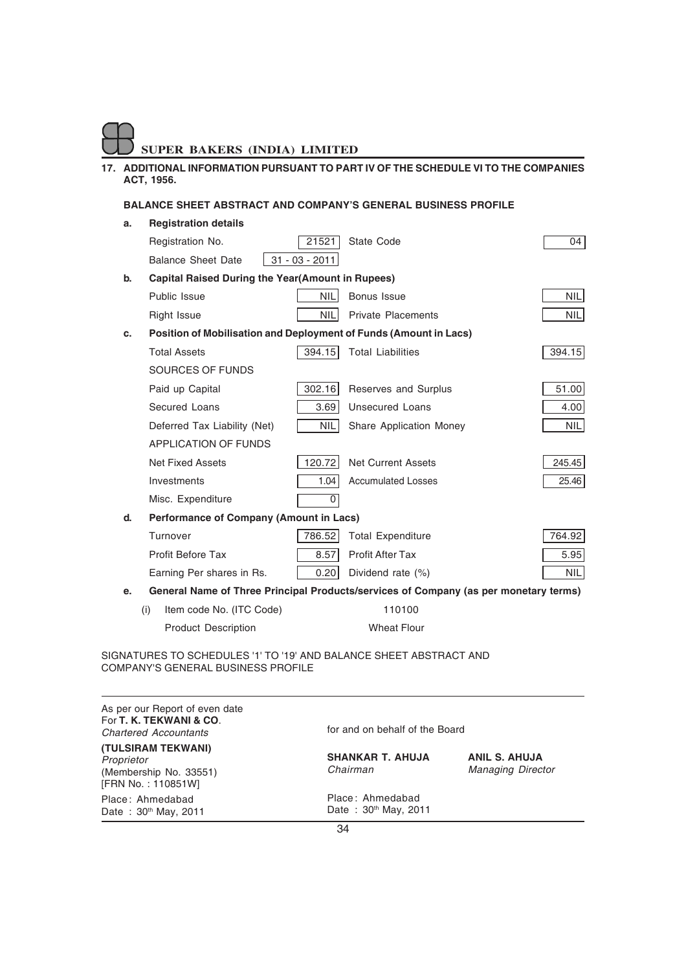### **17. ADDITIONAL INFORMATION PURSUANT TO PART IV OF THE SCHEDULE VI TO THE COMPANIES ACT, 1956.**

### **BALANCE SHEET ABSTRACT AND COMPANY'S GENERAL BUSINESS PROFILE**

| a.                                                              | <b>Registration details</b>                                       |                  |                                                                                      |            |
|-----------------------------------------------------------------|-------------------------------------------------------------------|------------------|--------------------------------------------------------------------------------------|------------|
|                                                                 | Registration No.                                                  | 21521            | State Code                                                                           | 04         |
|                                                                 | <b>Balance Sheet Date</b>                                         | $31 - 03 - 2011$ |                                                                                      |            |
| b.                                                              | <b>Capital Raised During the Year(Amount in Rupees)</b>           |                  |                                                                                      |            |
|                                                                 | Public Issue                                                      | <b>NIL</b>       | <b>Bonus Issue</b>                                                                   | <b>NIL</b> |
|                                                                 | Right Issue                                                       | <b>NIL</b>       | <b>Private Placements</b>                                                            | NIL        |
| C.                                                              | Position of Mobilisation and Deployment of Funds (Amount in Lacs) |                  |                                                                                      |            |
|                                                                 | <b>Total Assets</b>                                               | 394.15           | <b>Total Liabilities</b>                                                             | 394.15     |
|                                                                 | SOURCES OF FUNDS                                                  |                  |                                                                                      |            |
|                                                                 | Paid up Capital                                                   | 302.16           | Reserves and Surplus                                                                 | 51.00      |
|                                                                 | Secured Loans                                                     | 3.69             | <b>Unsecured Loans</b>                                                               | 4.00       |
|                                                                 | Deferred Tax Liability (Net)                                      | <b>NIL</b>       | Share Application Money                                                              | NIL        |
|                                                                 | <b>APPLICATION OF FUNDS</b>                                       |                  |                                                                                      |            |
|                                                                 | <b>Net Fixed Assets</b>                                           | 120.72           | <b>Net Current Assets</b>                                                            | 245.45     |
|                                                                 | Investments                                                       | 1.04             | <b>Accumulated Losses</b>                                                            | 25.46      |
|                                                                 | Misc. Expenditure                                                 | 0                |                                                                                      |            |
| d.                                                              | <b>Performance of Company (Amount in Lacs)</b>                    |                  |                                                                                      |            |
|                                                                 | Turnover                                                          | 786.52           | <b>Total Expenditure</b>                                                             | 764.92     |
|                                                                 | <b>Profit Before Tax</b>                                          | 8.57             | <b>Profit After Tax</b>                                                              | 5.95       |
|                                                                 | Earning Per shares in Rs.                                         | 0.20             | Dividend rate (%)                                                                    | <b>NIL</b> |
| е.                                                              |                                                                   |                  | General Name of Three Principal Products/services of Company (as per monetary terms) |            |
|                                                                 | Item code No. (ITC Code)<br>(i)                                   |                  | 110100                                                                               |            |
|                                                                 | <b>Product Description</b>                                        |                  | <b>Wheat Flour</b>                                                                   |            |
| NATURES TO SCHEDULES '1' TO '19' AND BALANCE SHEET ARSTRACT AND |                                                                   |                  |                                                                                      |            |

SIGNATURES TO SCHEDULES '1' TO '19' AND BALANCE SHEET ABSTRACT AND COMPANY'S GENERAL BUSINESS PROFILE

| As per our Report of even date<br>For T. K. TEKWANI & CO.<br><b>Chartered Accountants</b> | for and on behalf of the Board                       |                                                  |  |  |
|-------------------------------------------------------------------------------------------|------------------------------------------------------|--------------------------------------------------|--|--|
| (TULSIRAM TEKWANI)<br>Proprietor<br>(Membership No. 33551)<br>[FRN No.: 110851W]          | <b>SHANKAR T. AHUJA</b><br>Chairman                  | <b>ANIL S. AHUJA</b><br><b>Managing Director</b> |  |  |
| Place: Ahmedabad<br>Date: 30th May, 2011                                                  | Place: Ahmedabad<br>Date: 30 <sup>th</sup> May, 2011 |                                                  |  |  |
|                                                                                           | 34                                                   |                                                  |  |  |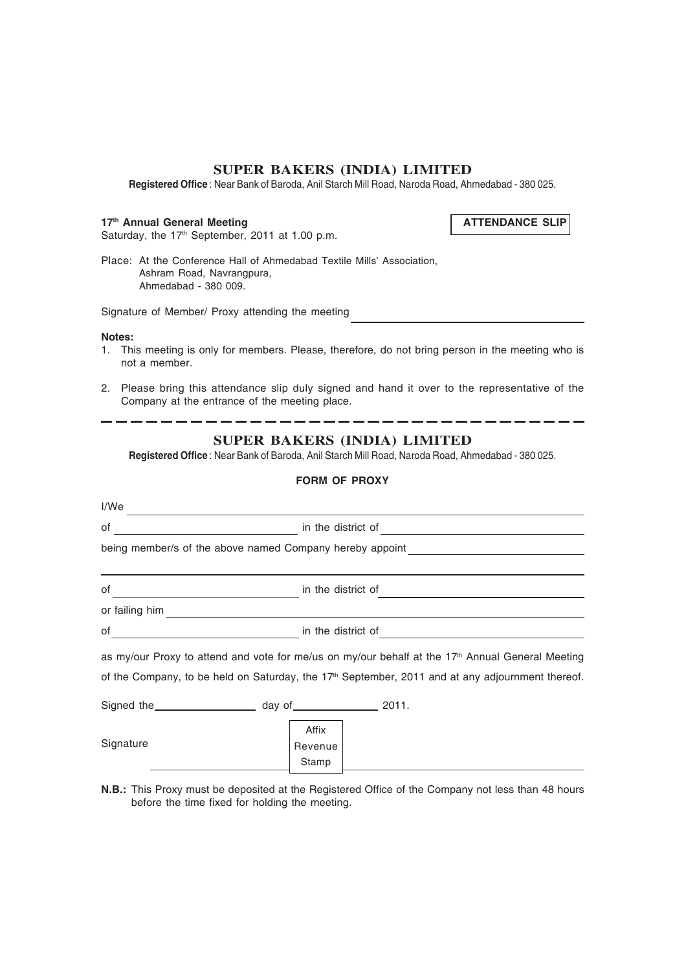**Registered Office** : Near Bank of Baroda, Anil Starch Mill Road, Naroda Road, Ahmedabad - 380 025.

### 17<sup>th</sup> Annual General Meeting **ATTENDANCE SLIP**

Saturday, the  $17<sup>th</sup>$  September, 2011 at 1.00 p.m.

Place: At the Conference Hall of Ahmedabad Textile Mills' Association, Ashram Road, Navrangpura, Ahmedabad - 380 009.

Signature of Member/ Proxy attending the meeting

### **Notes:**

- 1. This meeting is only for members. Please, therefore, do not bring person in the meeting who is not a member.
- 2. Please bring this attendance slip duly signed and hand it over to the representative of the Company at the entrance of the meeting place.

### ---------------------**SUPER BAKERS (INDIA) LIMITED**

**Registered Office** : Near Bank of Baroda, Anil Starch Mill Road, Naroda Road, Ahmedabad - 380 025.

### **FORM OF PROXY**

| I/We                                          |                                                                                                                                                                                                                                      |                                                                                                              |  |  |
|-----------------------------------------------|--------------------------------------------------------------------------------------------------------------------------------------------------------------------------------------------------------------------------------------|--------------------------------------------------------------------------------------------------------------|--|--|
| оf                                            | in the district of                                                                                                                                                                                                                   |                                                                                                              |  |  |
|                                               |                                                                                                                                                                                                                                      | being member/s of the above named Company hereby appoint                                                     |  |  |
| of                                            | in the district of                                                                                                                                                                                                                   |                                                                                                              |  |  |
|                                               |                                                                                                                                                                                                                                      |                                                                                                              |  |  |
| of<br><u> 1990 - Johann Barbara, martin a</u> | in the district of <b>with the set of the set of the set of the set of the set of the set of the set of the set of the set of the set of the set of the set of the set of the set of the set of the set of the set of the set of</b> |                                                                                                              |  |  |
|                                               |                                                                                                                                                                                                                                      | as my/our Proxy to attend and vote for me/us on my/our behalf at the 17 <sup>th</sup> Annual General Meeting |  |  |
|                                               |                                                                                                                                                                                                                                      | of the Company, to be held on Saturday, the $17th$ September, 2011 and at any adjournment thereof.           |  |  |
|                                               |                                                                                                                                                                                                                                      |                                                                                                              |  |  |
| Signature                                     | Affix<br>Revenue<br>Stamp                                                                                                                                                                                                            |                                                                                                              |  |  |

**N.B.:** This Proxy must be deposited at the Registered Office of the Company not less than 48 hours before the time fixed for holding the meeting.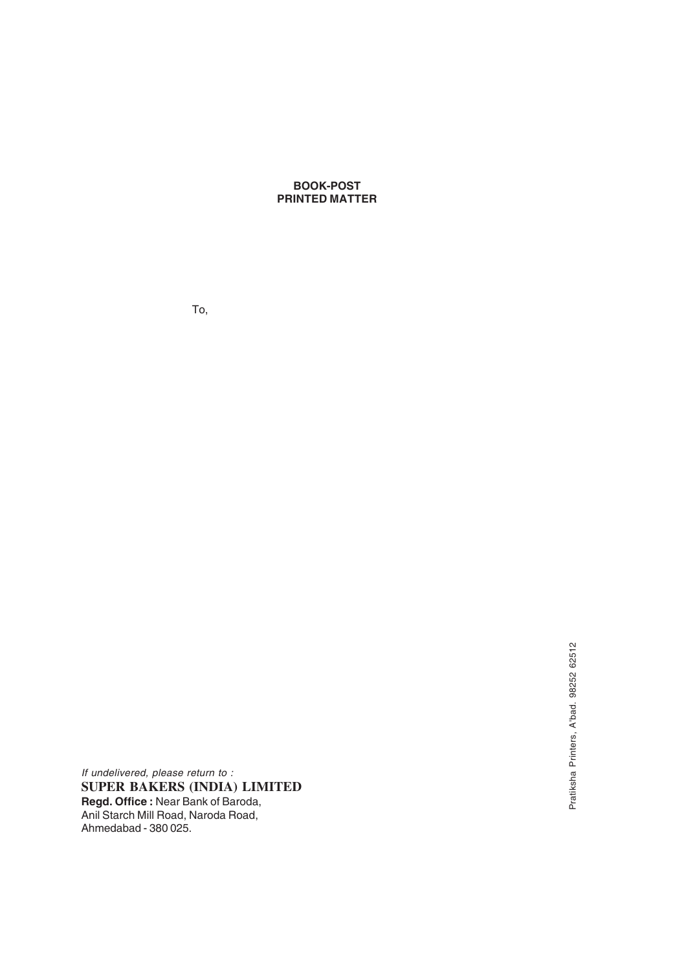**BOOK-POST PRINTED MATTER**

To,

*If undelivered, please return to :* **SUPER BAKERS (INDIA) LIMITED Regd. Office :** Near Bank of Baroda, Anil Starch Mill Road, Naroda Road, Ahmedabad - 380 025.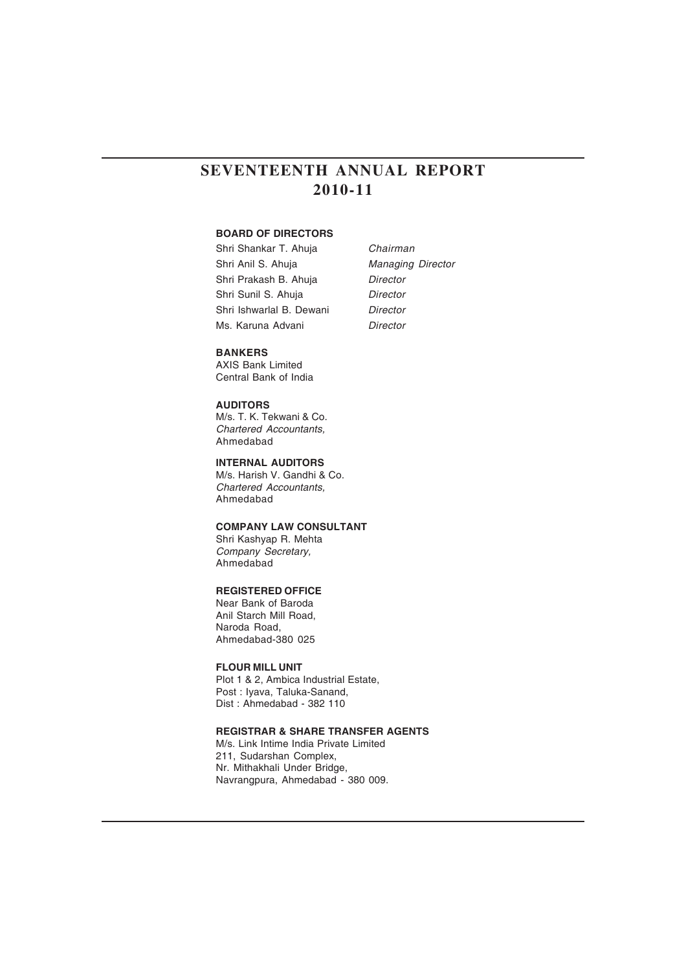### **SEVENTEENTH ANNUAL REPORT 2010-11**

### **BOARD OF DIRECTORS**

Shri Shankar T. Ahuja *Chairman* Shri Anil S. Ahuja *Managing Director* Shri Prakash B. Ahuja *Director* Shri Sunil S. Ahuja *Director* Shri Ishwarlal B. Dewani *Director* Ms. Karuna Advani *Director*

#### **BANKERS**

AXIS Bank Limited Central Bank of India

### **AUDITORS**

M/s. T. K. Tekwani & Co. *Chartered Accountants,* Ahmedabad

**INTERNAL AUDITORS** M/s. Harish V. Gandhi & Co. *Chartered Accountants,* Ahmedabad

### **COMPANY LAW CONSULTANT**

Shri Kashyap R. Mehta *Company Secretary,* Ahmedabad

### **REGISTERED OFFICE**

Near Bank of Baroda Anil Starch Mill Road, Naroda Road, Ahmedabad-380 025

### **FLOUR MILL UNIT**

Plot 1 & 2, Ambica Industrial Estate, Post : Iyava, Taluka-Sanand, Dist : Ahmedabad - 382 110

### **REGISTRAR & SHARE TRANSFER AGENTS**

M/s. Link Intime India Private Limited 211, Sudarshan Complex, Nr. Mithakhali Under Bridge, Navrangpura, Ahmedabad - 380 009.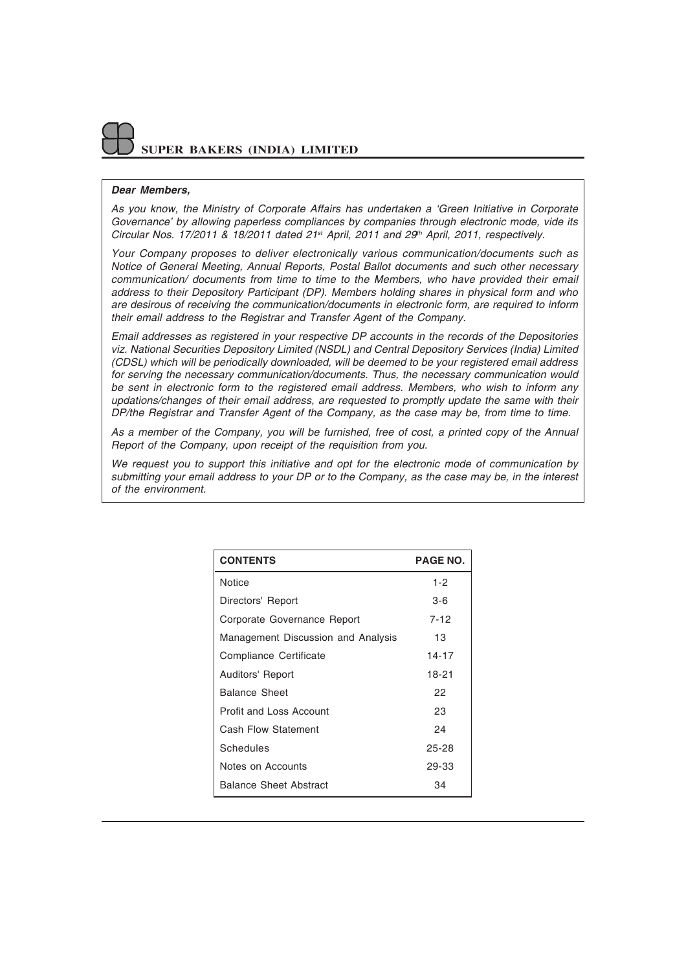### *Dear Members,*

*As you know, the Ministry of Corporate Affairs has undertaken a 'Green Initiative in Corporate Governance' by allowing paperless compliances by companies through electronic mode, vide its Circular Nos. 17/2011 & 18/2011 dated 21st April, 2011 and 29th April, 2011, respectively.*

*Your Company proposes to deliver electronically various communication/documents such as Notice of General Meeting, Annual Reports, Postal Ballot documents and such other necessary communication/ documents from time to time to the Members, who have provided their email address to their Depository Participant (DP). Members holding shares in physical form and who are desirous of receiving the communication/documents in electronic form, are required to inform their email address to the Registrar and Transfer Agent of the Company.*

*Email addresses as registered in your respective DP accounts in the records of the Depositories viz. National Securities Depository Limited (NSDL) and Central Depository Services (India) Limited (CDSL) which will be periodically downloaded, will be deemed to be your registered email address for serving the necessary communication/documents. Thus, the necessary communication would be sent in electronic form to the registered email address. Members, who wish to inform any updations/changes of their email address, are requested to promptly update the same with their DP/the Registrar and Transfer Agent of the Company, as the case may be, from time to time.*

*As a member of the Company, you will be furnished, free of cost, a printed copy of the Annual Report of the Company, upon receipt of the requisition from you.*

*We request you to support this initiative and opt for the electronic mode of communication by submitting your email address to your DP or to the Company, as the case may be, in the interest of the environment.*

| <b>CONTENTS</b>                    | <b>PAGE NO.</b> |
|------------------------------------|-----------------|
| Notice                             | $1 - 2$         |
| Directors' Report                  | 3-6             |
| Corporate Governance Report        | 7-12            |
| Management Discussion and Analysis | 13              |
| Compliance Certificate             | $14 - 17$       |
| Auditors' Report                   | 18-21           |
| <b>Balance Sheet</b>               | 22              |
| Profit and Loss Account            | 23              |
| Cash Flow Statement                | 24              |
| Schedules                          | 25-28           |
| Notes on Accounts                  | 29-33           |
| Balance Sheet Abstract             | 34              |